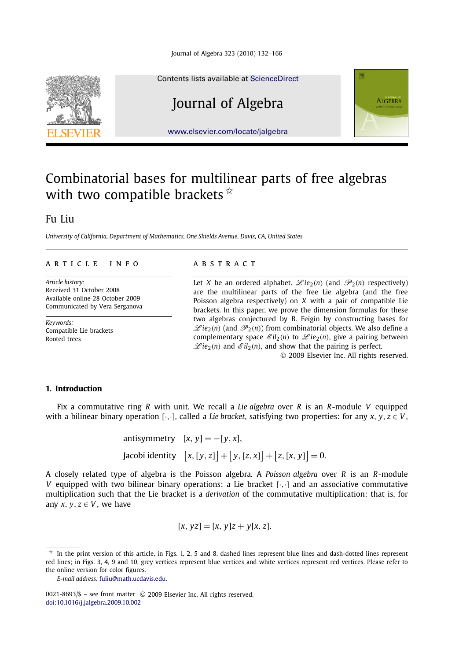

#### Contents lists available at [ScienceDirect](http://www.ScienceDirect.com/)

## Journal of Algebra



[www.elsevier.com/locate/jalgebra](http://www.elsevier.com/locate/jalgebra)

# Combinatorial bases for multilinear parts of free algebras with two compatible brackets  $\dot{x}$

## Fu Liu

*University of California, Department of Mathematics, One Shields Avenue, Davis, CA, United States*

#### article info abstract

*Article history:* Received 31 October 2008 Available online 28 October 2009 Communicated by Vera Serganova

*Keywords:* Compatible Lie brackets Rooted trees

Let *X* be an ordered alphabet.  $\mathscr{L}ie_2(n)$  (and  $\mathscr{P}_2(n)$  respectively) are the multilinear parts of the free Lie algebra (and the free Poisson algebra respectively) on *X* with a pair of compatible Lie brackets. In this paper, we prove the dimension formulas for these two algebras conjectured by B. Feigin by constructing bases for  $\mathscr{L}ie_2(n)$  (and  $\mathscr{P}_2(n)$ ) from combinatorial objects. We also define a complementary space  $\mathscr{E}il_2(n)$  to  $\mathscr{L}ie_2(n)$ , give a pairing between  $\mathscr{L}ie_2(n)$  and  $\mathscr{E}il_2(n)$ , and show that the pairing is perfect.

© 2009 Elsevier Inc. All rights reserved.

#### **1. Introduction**

Fix a commutative ring *R* with unit. We recall a *Lie algebra* over *R* is an *R*-module *V* equipped with a bilinear binary operation  $[\cdot, \cdot]$ , called a *Lie bracket*, satisfying two properties: for any *x*, *y*, *z*  $\in$  *V*,

> antisymmetry  $[x, y] = -[y, x]$ ,  $[x, [y, z]] + [y, [z, x]] + [z, [x, y]] = 0.$

A closely related type of algebra is the Poisson algebra. A *Poisson algebra* over *R* is an *R*-module *V* equipped with two bilinear binary operations: a Lie bracket [·*,*·] and an associative commutative multiplication such that the Lie bracket is a *derivation* of the commutative multiplication: that is, for any  $x, y, z \in V$ , we have

 $[x, yz] = [x, y]z + y[x, z].$ 

In the print version of this article, in Figs. 1, 2, 5 and 8, dashed lines represent blue lines and dash-dotted lines represent red lines; in Figs. 3, 4, 9 and 10, grey vertices represent blue vertices and white vertices represent red vertices. Please refer to the online version for color figures.

*E-mail address:* [fuliu@math.ucdavis.edu](mailto:fuliu@math.ucdavis.edu).

<sup>0021-8693/\$ –</sup> see front matter © 2009 Elsevier Inc. All rights reserved. [doi:10.1016/j.jalgebra.2009.10.002](http://dx.doi.org/10.1016/j.jalgebra.2009.10.002)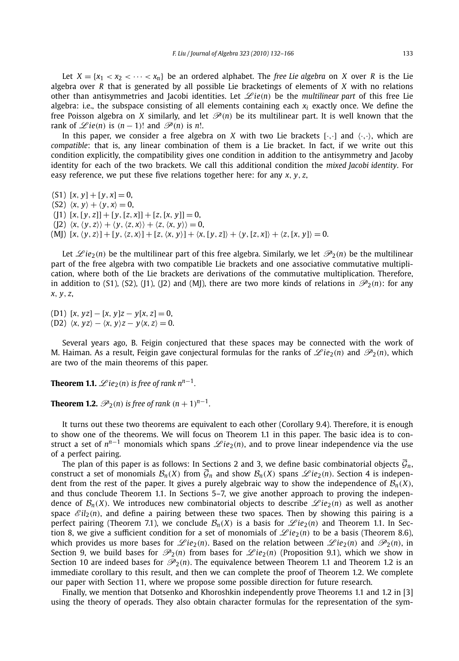Let  $X = \{x_1 < x_2 < \cdots < x_n\}$  be an ordered alphabet. The *free Lie algebra* on *X* over *R* is the Lie algebra over *R* that is generated by all possible Lie bracketings of elements of *X* with no relations other than antisymmetries and Jacobi identities. Let  $\mathscr{L}ie(n)$  be the *multilinear part* of this free Lie algebra: i.e., the subspace consisting of all elements containing each *xi* exactly once. We define the free Poisson algebra on *X* similarly, and let  $\mathcal{P}(n)$  be its multilinear part. It is well known that the rank of  $\mathcal{L}ie(n)$  is  $(n-1)!$  and  $\mathcal{P}(n)$  is n!.

In this paper, we consider a free algebra on *X* with two Lie brackets  $[\cdot, \cdot]$  and  $\langle \cdot, \cdot \rangle$ , which are *compatible*: that is, any linear combination of them is a Lie bracket. In fact, if we write out this condition explicitly, the compatibility gives one condition in addition to the antisymmetry and Jacoby identity for each of the two brackets. We call this additional condition the *mixed Jacobi identity*. For easy reference, we put these five relations together here: for any *x, y, z*,

 $(51)$   $[x, y] + [y, x] = 0$ ,  $(S2)$   $\langle x, y \rangle + \langle y, x \rangle = 0$ ,  $([1] [x, [y, z]] + [y, [z, x]] + [z, [x, y]] = 0,$  $\langle$  ([2]  $\langle x, \langle y, z \rangle \rangle + \langle y, \langle z, x \rangle \rangle + \langle z, \langle x, y \rangle \rangle = 0$ , (MI)  $[x, \langle y, z \rangle] + [y, \langle z, x \rangle] + [z, \langle x, y \rangle] + \langle x, [y, z] \rangle + \langle y, [z, x] \rangle + \langle z, [x, y] \rangle = 0.$ 

Let  $\mathscr{L}ie_2(n)$  be the multilinear part of this free algebra. Similarly, we let  $\mathscr{P}_2(n)$  be the multilinear part of the free algebra with two compatible Lie brackets and one associative commutative multiplication, where both of the Lie brackets are derivations of the commutative multiplication. Therefore, in addition to (S1), (S2), (J1), (J2) and (MJ), there are two more kinds of relations in  $\mathcal{P}_2(n)$ : for any *x, y, z*,

(D1) [*x, yz*]−[*x, y*]*z* − *y*[*x, z*] = 0, (D2)  $\langle x, yz \rangle - \langle x, y \rangle z - y \langle x, z \rangle = 0.$ 

Several years ago, B. Feigin conjectured that these spaces may be connected with the work of M. Haiman. As a result, Feigin gave conjectural formulas for the ranks of  $\mathscr{L}ie_2(n)$  and  $\mathscr{P}_2(n)$ , which are two of the main theorems of this paper.

**Theorem 1.1.**  $\mathscr{L}ie_2(n)$  *is free of rank*  $n^{n-1}$ *.* 

**Theorem 1.2.**  $\mathscr{P}_2(n)$  is free of rank  $(n + 1)^{n-1}$ .

It turns out these two theorems are equivalent to each other (Corollary 9.4). Therefore, it is enough to show one of the theorems. We will focus on Theorem 1.1 in this paper. The basic idea is to construct a set of  $n^{n-1}$  monomials which spans  $\mathcal{L}ie_2(n)$ , and to prove linear independence via the use of a perfect pairing.

The plan of this paper is as follows: In Sections 2 and 3, we define basic combinatorial objects  $\overline{\mathcal{G}}_n$ , construct a set of monomials  $\mathcal{B}_n(X)$  from  $\overline{\mathcal{G}}_n$  and show  $\mathcal{B}_n(X)$  spans  $\mathcal{L}ie_2(n)$ . Section 4 is independent from the rest of the paper. It gives a purely algebraic way to show the independence of  $\mathcal{B}_n(X)$ , and thus conclude Theorem 1.1. In Sections 5–7, we give another approach to proving the independence of  $\mathcal{B}_n(X)$ . We introduces new combinatorial objects to describe  $\mathscr{L}ie_2(n)$  as well as another space  $\mathcal{E}$ il<sub>2</sub>(*n*), and define a pairing between these two spaces. Then by showing this pairing is a perfect pairing (Theorem 7.1), we conclude  $\mathcal{B}_n(X)$  is a basis for  $\mathcal{L}ie_2(n)$  and Theorem 1.1. In Section 8, we give a sufficient condition for a set of monomials of  $\mathscr{L}ie_2(n)$  to be a basis (Theorem 8.6), which provides us more bases for  $\mathcal{L}ie_2(n)$ . Based on the relation between  $\mathcal{L}ie_2(n)$  and  $\mathcal{P}_2(n)$ , in Section 9, we build bases for  $\mathcal{P}_2(n)$  from bases for  $\mathcal{L}ie_2(n)$  (Proposition 9.1), which we show in Section 10 are indeed bases for  $\mathcal{P}_2(n)$ . The equivalence between Theorem 1.1 and Theorem 1.2 is an immediate corollary to this result, and then we can complete the proof of Theorem 1.2. We complete our paper with Section 11, where we propose some possible direction for future research.

Finally, we mention that Dotsenko and Khoroshkin independently prove Theorems 1.1 and 1.2 in [3] using the theory of operads. They also obtain character formulas for the representation of the sym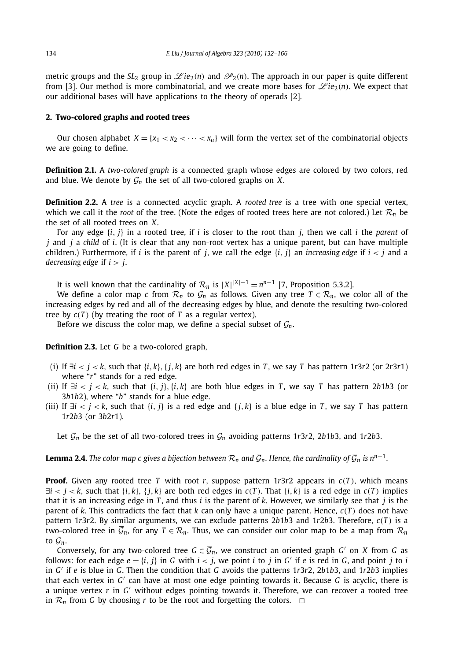metric groups and the *SL*<sub>2</sub> group in  $\mathscr{L}ie_2(n)$  and  $\mathscr{P}_2(n)$ . The approach in our paper is quite different from [3]. Our method is more combinatorial, and we create more bases for  $\mathscr{L}ie_2(n)$ . We expect that our additional bases will have applications to the theory of operads [2].

#### **2. Two-colored graphs and rooted trees**

Our chosen alphabet  $X = \{x_1 < x_2 < \cdots < x_n\}$  will form the vertex set of the combinatorial objects we are going to define.

**Definition 2.1.** A *two-colored graph* is a connected graph whose edges are colored by two colors, red and blue. We denote by  $\mathcal{G}_n$  the set of all two-colored graphs on *X*.

**Definition 2.2.** A *tree* is a connected acyclic graph. A *rooted tree* is a tree with one special vertex, which we call it the *root* of the tree. (Note the edges of rooted trees here are not colored.) Let  $\mathcal{R}_n$  be the set of all rooted trees on *X*.

For any edge {*i, j*} in a rooted tree, if *i* is closer to the root than *j*, then we call *i* the *parent* of *j* and *j* a *child* of *i*. (It is clear that any non-root vertex has a unique parent, but can have multiple children.) Furthermore, if *i* is the parent of *j*, we call the edge {*i, j*} an *increasing edge* if *i < j* and a *decreasing edge* if *i > j*.

It is well known that the cardinality of  $\mathcal{R}_n$  is  $|X|^{X-1} = n^{n-1}$  [7, Proposition 5.3.2].

We define a color map *c* from  $\mathcal{R}_n$  to  $\mathcal{G}_n$  as follows. Given any tree  $T \in \mathcal{R}_n$ , we color all of the increasing edges by red and all of the decreasing edges by blue, and denote the resulting two-colored tree by  $c(T)$  (by treating the root of  $T$  as a regular vertex).

Before we discuss the color map, we define a special subset of  $\mathcal{G}_n$ .

**Definition 2.3.** Let *G* be a two-colored graph,

- (i) If  $\exists i < j < k$ , such that  $\{i, k\}, \{j, k\}$  are both red edges in T, we say T has pattern 1r3r2 (or 2r3r1) where "*r*" stands for a red edge.
- (ii) If ∃*i < j < k*, such that {*i, j*}*,*{*i,k*} are both blue edges in *T* , we say *T* has pattern 2*b*1*b*3 (or 3*b*1*b*2), where "*b*" stands for a blue edge.
- (iii) If  $\exists i < j < k$ , such that  $\{i, j\}$  is a red edge and  $\{j, k\}$  is a blue edge in *T*, we say *T* has pattern 1*r*2*b*3 (or 3*b*2*r*1).

Let  $\overline{G}_n$  be the set of all two-colored trees in  $\mathcal{G}_n$  avoiding patterns 1r3r2, 2b1b3, and 1r2b3.

#### **Lemma 2.4.** *The color map c gives a bijection between*  $\mathcal{R}_n$  *and*  $\overline{\mathcal{G}}_n$ *. Hence, the cardinality of*  $\overline{\mathcal{G}}_n$  *is*  $n^{n-1}$ *.*

**Proof.** Given any rooted tree *T* with root *r*, suppose pattern 1*r*3*r*2 appears in  $c(T)$ , which means  $\exists i < j < k$ , such that  $\{i, k\}$ ,  $\{j, k\}$  are both red edges in  $c(T)$ . That  $\{i, k\}$  is a red edge in  $c(T)$  implies that it is an increasing edge in *T* , and thus *i* is the parent of *k*. However, we similarly see that *j* is the parent of *k*. This contradicts the fact that *k* can only have a unique parent. Hence,  $c(T)$  does not have pattern 1*r*3*r*2. By similar arguments, we can exclude patterns 2*b*1*b*3 and 1*r*2*b*3. Therefore, *c(T )* is a two-colored tree in  $\bar{\mathcal{G}}_n$ , for any  $T \in \mathcal{R}_n$ . Thus, we can consider our color map to be a map from  $\mathcal{R}_n$ to  $\overline{\mathcal{G}}_n$ .

Conversely, for any two-colored tree  $G \in \overline{\mathcal{G}}_n$ , we construct an oriented graph *G'* on *X* from *G* as follows: for each edge  $e = \{i, j\}$  in *G* with  $i < j$ , we point *i* to *j* in *G'* if *e* is red in *G*, and point *j* to *i* in *G* if *e* is blue in *G*. Then the condition that *G* avoids the patterns 1*r*3*r*2, 2*b*1*b*3, and 1*r*2*b*3 implies that each vertex in  $G'$  can have at most one edge pointing towards it. Because  $G$  is acyclic, there is a unique vertex *r* in *G* without edges pointing towards it. Therefore, we can recover a rooted tree in  $\mathcal{R}_n$  from *G* by choosing *r* to be the root and forgetting the colors.  $\Box$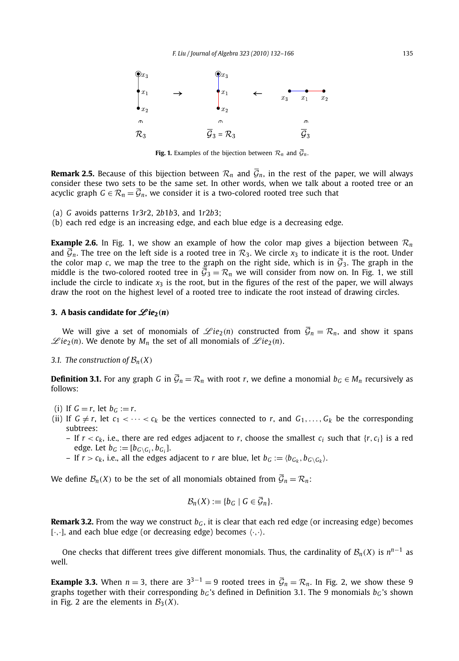

**Fig. 1.** Examples of the bijection between  $\mathcal{R}_n$  and  $\overline{\mathcal{G}}_n$ .

**Remark 2.5.** Because of this bijection between  $\mathcal{R}_n$  and  $\bar{\mathcal{G}}_n$ , in the rest of the paper, we will always consider these two sets to be the same set. In other words, when we talk about a rooted tree or an acyclic graph  $G \in \mathcal{R}_n = \overline{\mathcal{G}}_n$ , we consider it is a two-colored rooted tree such that

- (a) *G* avoids patterns 1*r*3*r*2, 2*b*1*b*3, and 1*r*2*b*3;
- (b) each red edge is an increasing edge, and each blue edge is a decreasing edge.

**Example 2.6.** In Fig. 1, we show an example of how the color map gives a bijection between  $\mathcal{R}_n$ and  $\overline{G}_n$ . The tree on the left side is a rooted tree in  $\mathcal{R}_3$ . We circle  $x_3$  to indicate it is the root. Under the color map *c*, we map the tree to the graph on the right side, which is in  $\overline{G}_3$ . The graph in the middle is the two-colored rooted tree in  $\overline{G}_3 = \mathcal{R}_n$  we will consider from now on. In Fig. 1, we still include the circle to indicate  $x_3$  is the root, but in the figures of the rest of the paper, we will always draw the root on the highest level of a rooted tree to indicate the root instead of drawing circles.

#### **3.** A basis candidate for  $\mathscr{L}ie_2(n)$

We will give a set of monomials of  $\mathscr{L}ie_2(n)$  constructed from  $\overline{\mathcal{G}}_n = \mathcal{R}_n$ , and show it spans  $\mathscr{L}ie_2(n)$ . We denote by  $M_n$  the set of all monomials of  $\mathscr{L}ie_2(n)$ .

#### *3.1. The construction of*  $\mathcal{B}_n(X)$

**Definition 3.1.** For any graph *G* in  $\overline{G}_n = \mathcal{R}_n$  with root *r*, we define a monomial  $b_G \in M_n$  recursively as follows:

- (i) If  $G = r$ , let  $b_G := r$ .
- (ii) If  $G \neq r$ , let  $c_1 < \cdots < c_k$  be the vertices connected to r, and  $G_1, \ldots, G_k$  be the corresponding subtrees:
	- If  $r < c_k$ , i.e., there are red edges adjacent to *r*, choose the smallest  $c_i$  such that  $\{r, c_i\}$  is a red edge. Let  $b_G := [b_{G \setminus G_i}, b_{G_i}]$ .
	- If  $r > c_k$ , i.e., all the edges adjacent to *r* are blue, let  $b_G := \langle b_{G_k}, b_{G \setminus G_k} \rangle$ .

We define  $\mathcal{B}_n(X)$  to be the set of all monomials obtained from  $\overline{\mathcal{G}}_n = \mathcal{R}_n$ :

$$
\mathcal{B}_n(X) := \{b_G \mid G \in \overline{\mathcal{G}}_n\}.
$$

**Remark 3.2.** From the way we construct  $b<sub>G</sub>$ , it is clear that each red edge (or increasing edge) becomes  $[\cdot, \cdot]$ , and each blue edge (or decreasing edge) becomes  $\langle \cdot, \cdot \rangle$ .

One checks that different trees give different monomials. Thus, the cardinality of  $\mathcal{B}_n(X)$  is  $n^{n-1}$  as well.

**Example 3.3.** When  $n = 3$ , there are  $3^{3-1} = 9$  rooted trees in  $\overline{G}_n = \mathcal{R}_n$ . In Fig. 2, we show these 9 graphs together with their corresponding *bG* 's defined in Definition 3.1. The 9 monomials *bG* 's shown in Fig. 2 are the elements in  $\mathcal{B}_3(X)$ .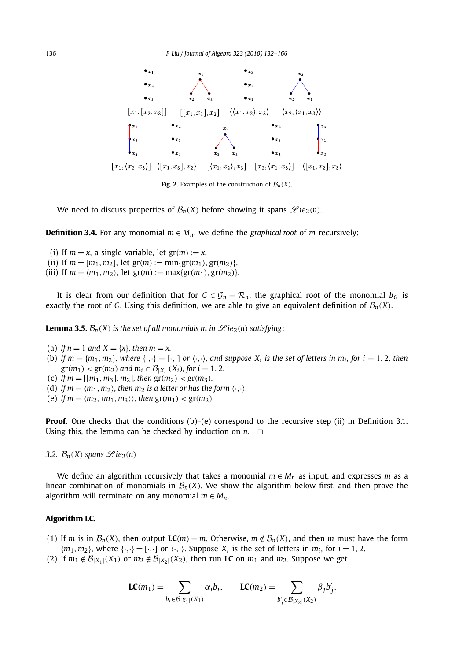

**Fig. 2.** Examples of the construction of  $\mathcal{B}_n(X)$ .

We need to discuss properties of  $\mathcal{B}_n(X)$  before showing it spans  $\mathscr{L}ie_2(n)$ .

**Definition 3.4.** For any monomial  $m \in M_n$ , we define the *graphical root* of *m* recursively:

- (i) If  $m = x$ , a single variable, let  $gr(m) := x$ .
- (ii) If  $m = [m_1, m_2]$ , let  $gr(m) := min\{gr(m_1), gr(m_2)\}.$
- (iii) If  $m = \langle m_1, m_2 \rangle$ , let  $gr(m) := \max\{gr(m_1), gr(m_2)\}.$

It is clear from our definition that for  $G \in \overline{\mathcal{G}}_n = \mathcal{R}_n$ , the graphical root of the monomial  $b_G$  is exactly the root of *G*. Using this definition, we are able to give an equivalent definition of  $B_n(X)$ .

**Lemma 3.5.**  $\mathcal{B}_n(X)$  is the set of all monomials m in  $\mathcal{L}ie_2(n)$  satisfying:

- (a) *If*  $n = 1$  *and*  $X = \{x\}$ *, then*  $m = x$ *.*
- (b) If  $m = \{m_1, m_2\}$ , where  $\{\cdot, \cdot\} = [\cdot, \cdot]$  or  $\langle \cdot, \cdot \rangle$ , and suppose  $X_i$  is the set of letters in  $m_i$ , for  $i = 1, 2$ , then  $gr(m_1) < gr(m_2)$  *and*  $m_i \in B_{|X_i|}(X_i)$ , for  $i = 1, 2$ .
- (c) *If*  $m = [[m_1, m_3], m_2]$ *, then*  $gr(m_2) < gr(m_3)$ *.*
- (d) If  $m = \langle m_1, m_2 \rangle$ , then  $m_2$  is a letter or has the form  $\langle \cdot, \cdot \rangle$ .
- (e) If  $m = \langle m_2, \langle m_1, m_3 \rangle \rangle$ , then  $gr(m_1) < gr(m_2)$ .

**Proof.** One checks that the conditions (b)–(e) correspond to the recursive step (ii) in Definition 3.1. Using this, the lemma can be checked by induction on  $n.$ 

*3.2.*  $B_n(X)$  *spans*  $\mathscr{L}ie_2(n)$ 

We define an algorithm recursively that takes a monomial  $m \in M_n$  as input, and expresses m as a linear combination of monomials in  $\mathcal{B}_n(X)$ . We show the algorithm below first, and then prove the algorithm will terminate on any monomial  $m \in M_n$ .

#### **Algorithm LC.**

- (1) If *m* is in  $\mathcal{B}_n(X)$ , then output  $LC(m) = m$ . Otherwise,  $m \notin \mathcal{B}_n(X)$ , and then *m* must have the form  ${m_1, m_2}$ , where  ${\cdot, \cdot} = {\cdot, \cdot}$  or  ${\cdot, \cdot}$ . Suppose  $X_i$  is the set of letters in  $m_i$ , for  $i = 1, 2$ .
- (2) If  $m_1 \notin \mathcal{B}_{|X_1|}(X_1)$  or  $m_2 \notin \mathcal{B}_{|X_2|}(X_2)$ , then run **LC** on  $m_1$  and  $m_2$ . Suppose we get

$$
LC(m_1) = \sum_{b_i \in \mathcal{B}_{|X_1|}(X_1)} \alpha_i b_i, \qquad LC(m_2) = \sum_{b'_j \in \mathcal{B}_{|X_2|}(X_2)} \beta_j b'_j.
$$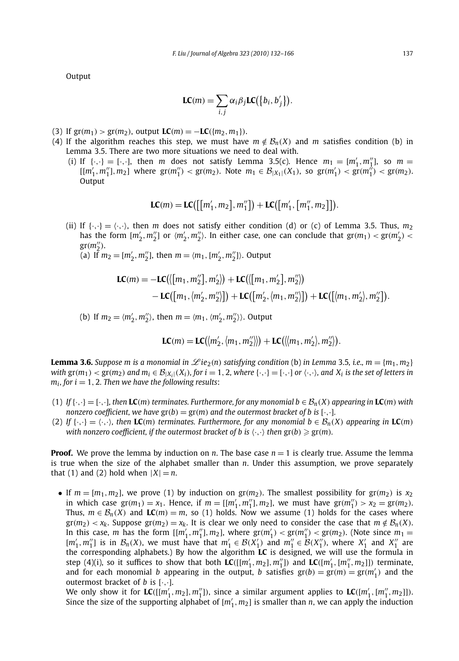Output

$$
LC(m) = \sum_{i,j} \alpha_i \beta_j LC(\{b_i, b'_j\}).
$$

- (3) If  $gr(m_1) > gr(m_2)$ , output  $LC(m) = -LC({m_2, m_1})$ .
- (4) If the algorithm reaches this step, we must have  $m \notin \mathcal{B}_n(X)$  and *m* satisfies condition (b) in Lemma 3.5. There are two more situations we need to deal with.
	- (i) If  $\{\cdot, \cdot\} = [\cdot, \cdot]$ , then *m* does not satisfy Lemma 3.5(c). Hence  $m_1 = [m'_1, m''_1]$ , so  $m =$  $[[m'_1, m''_1], m_2]$  where  $gr(m''_1) < gr(m_2)$ . Note  $m_1 \in B_{|X_1|}(X_1)$ , so  $gr(m'_1) < gr(m''_1) < gr(m_2)$ . **Output**

$$
LC(m) = LC([[m'_1, m_2], m''_1]) + LC([m'_1, [m''_1, m_2]]).
$$

(ii) If  $\{\cdot,\cdot\} = \langle \cdot,\cdot\rangle$ , then *m* does not satisfy either condition (d) or (c) of Lemma 3.5. Thus,  $m_2$ has the form  $[m'_2, m''_2]$  or  $\langle m'_2, m''_2 \rangle$ . In either case, one can conclude that  $gr(m_1) < gr(m'_2) <$  $gr(m''_2)$ .

(a) If  $m_2 = [m'_2, m''_2]$ , then  $m = \langle m_1, [m'_2, m''_2] \rangle$ . Output

$$
LC(m) = -LC([\{m_1, m_2''\}, m_2']) + LC([\{m_1, m_2'\}, m_2''])- LC([\{m_1, \langle m_2', m_2''\rangle]\} + LC([\{m_2', \langle m_1, m_2''\rangle\}]) + LC([\{m_1, m_2'\}, m_2'']).
$$

(b) If  $m_2 = \langle m'_2, m''_2 \rangle$ , then  $m = \langle m_1, \langle m'_2, m''_2 \rangle \rangle$ . Output

$$
LC(m) = LC(\langle m'_2, \langle m_1, m''_2 \rangle \rangle) + LC(\langle m_1, m'_2 \rangle, m''_2 \rangle).
$$

**Lemma 3.6.** Suppose m is a monomial in  $\mathscr{L}ie_2(n)$  satisfying condition (b) in Lemma 3.5, i.e.,  $m = \{m_1, m_2\}$ with  $gr(m_1) < gr(m_2)$  and  $m_i \in B_{|X_i|}(X_i)$ , for  $i = 1, 2$ , where  $\{\cdot, \cdot\} = [\cdot, \cdot]$  or  $\langle \cdot, \cdot \rangle$ , and  $X_i$  is the set of letters in  $m_i$ , for  $i = 1, 2$ . Then we have the following results:

- (1) If  $\{\cdot,\cdot\} = [\cdot,\cdot]$ , then **LC**(*m*) terminates. Furthermore, for any monomial  $b \in \mathcal{B}_n(X)$  appearing in **LC**(*m*) with *nonzero coefficient, we have*  $gr(b) = gr(m)$  *and the outermost bracket of b is* [ $\cdot$ , $\cdot$ ]*.*
- (2) If  $\{\cdot,\cdot\} = \langle\cdot,\cdot\rangle$ , then LC(m) terminates. Furthermore, for any monomial  $b \in \mathcal{B}_n(X)$  appearing in LC(m) with nonzero coefficient, if the outermost bracket of b is  $\langle\cdot,\cdot\rangle$  then  $\mathrm{gr}(b)\geqslant \mathrm{gr}(m)$ .

**Proof.** We prove the lemma by induction on *n*. The base case  $n = 1$  is clearly true. Assume the lemma is true when the size of the alphabet smaller than *n*. Under this assumption, we prove separately that (1) and (2) hold when  $|X| = n$ .

• If  $m = [m_1, m_2]$ , we prove (1) by induction on  $gr(m_2)$ . The smallest possibility for  $gr(m_2)$  is  $x_2$ in which case  $gr(m_1) = x_1$ . Hence, if  $m = [[m'_1, m''_1], m_2]$ , we must have  $gr(m''_1) > x_2 = gr(m_2)$ . Thus,  $m \in \mathcal{B}_n(X)$  and  $LC(m) = m$ , so (1) holds. Now we assume (1) holds for the cases where  $\int$ *gr*(*m*<sub>2</sub>) < *x<sub>k</sub>*. Suppose  $\int$ *gr*(*m*<sub>2</sub>) = *x<sub>k</sub>*. It is clear we only need to consider the case that *m*  $\notin$  *B*<sub>*n*</sub>(*X*). In this case, *m* has the form  $[[m'_1, m''_1], m_2]$ , where  $gr(m'_1) < gr(m''_1) < gr(m_2)$ . (Note since  $m_1 =$  $[m'_1, m''_1]$  is in  $\mathcal{B}_n(X)$ , we must have that  $m'_1 \in \mathcal{B}(X'_1)$  and  $m''_1 \in \mathcal{B}(X''_1)$ , where  $X'_1$  and  $X''_1$  are the corresponding alphabets.) By how the algorithm **LC** is designed, we will use the formula in step (4)(i), so it suffices to show that both  $LC([m'_1, m_2], m''_1]$  and  $LC([m'_1, [m''_1, m_2]])$  terminate, and for each monomial *b* appearing in the output, *b* satisfies  $gr(b) = gr(m) = gr(m'_1)$  and the outermost bracket of *b* is  $[\cdot, \cdot]$ .

We only show it for  $LC([m'_1, m_2], m''_1])$ , since a similar argument applies to  $LC([m'_1, [m''_1, m_2]])$ . Since the size of the supporting alphabet of  $[m'_1, m_2]$  is smaller than *n*, we can apply the induction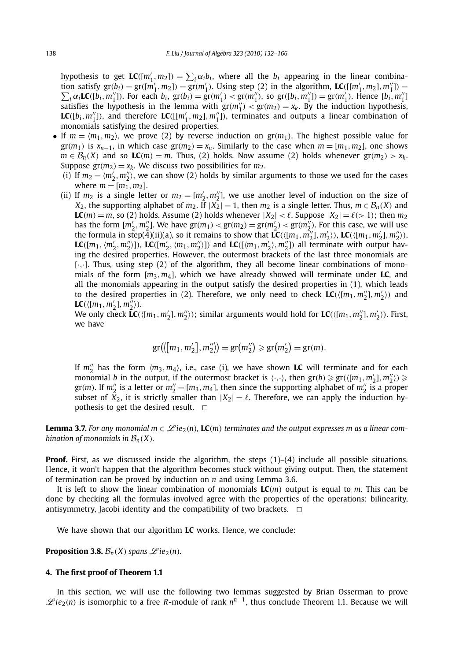hypothesis to get  $LC([m'_1, m_2]) = \sum_i \alpha_i b_i$ , where all the  $b_i$  appearing in the linear combination satisfy  $gr(b_i) = gr(m'_1, m_2) = gr(m'_1)$ . Using step (2) in the algorithm,  $LC([[m'_1, m_2], m''_1]) =$  $\sum_{i} \alpha_{i} \mathbf{LC}([b_{i}, m'_{1}])$ . For each  $b_{i}$ ,  $gr(b_{i}) = gr(m'_{1}) < gr(m''_{1})$ , so  $gr([b_{i}, m''_{1}]) = gr(m'_{1})$ . Hence  $[b_{i}, m''_{1}]$ satisfies the hypothesis in the lemma with  $gr(m''_1) < gr(m_2) = x_k$ . By the induction hypothesis, **LC**( $[b_i, m''_1$ )), and therefore **LC**( $[[m'_1, m_2], m''_1]$ ), terminates and outputs a linear combination of monomials satisfying the desired properties.

- If  $m = \langle m_1, m_2 \rangle$ , we prove (2) by reverse induction on  $gr(m_1)$ . The highest possible value for  $gr(m_1)$  is  $x_{n-1}$ , in which case  $gr(m_2) = x_n$ . Similarly to the case when  $m = [m_1, m_2]$ , one shows *m* ∈  $B_n(X)$  and so **LC***(m)* = *m*. Thus, (2) holds. Now assume (2) holds whenever gr(*m*<sub>2</sub>) > *x*<sub>k</sub>. Suppose  $gr(m_2) = x_k$ . We discuss two possibilities for  $m_2$ .
	- (i) If  $m_2 = \langle m'_2, m''_2 \rangle$ , we can show (2) holds by similar arguments to those we used for the cases where  $m = [m_1, m_2]$ .
	- (ii) If  $m_2$  is a single letter or  $m_2 = [m'_2, m''_2]$ , we use another level of induction on the size of *X*<sub>2</sub>, the supporting alphabet of *m*<sub>2</sub>. If  $|X_2| = 1$ , then *m*<sub>2</sub> is a single letter. Thus,  $m \in B_n(X)$  and **LC**(*m*) = *m*, so (2) holds. Assume (2) holds whenever  $|X_2| < \ell$ . Suppose  $|X_2| = \ell$ (>1); then *m*<sub>2</sub> has the form  $[m'_2, m''_2]$ . We have  $gr(m_1) < gr(m_2) = gr(m'_2) < gr(m''_2)$ . For this case, we will use the formula in step(4)(ii)(a), so it remains to show that  $LC(\{[m_1, m_2'], m_2'\})$ ,  $LC(\{[m_1, m_2'], m_2''\})$ , LC([ $m_1$ ,  $\langle m_2', m_2'' \rangle$ ]), LC([ $m_2', \langle m_1, m_2'' \rangle$ ]) and LC([ $\langle m_1, m_2' \rangle, m_2''$ ]) all terminate with output having the desired properties. However, the outermost brackets of the last three monomials are [·*,*·]. Thus, using step (2) of the algorithm, they all become linear combinations of monomials of the form [*m*3*,m*4], which we have already showed will terminate under **LC**, and all the monomials appearing in the output satisfy the desired properties in (1), which leads to the desired properties in (2). Therefore, we only need to check  $LC(\langle [m_1, m''_2], m'_2 \rangle)$  and **LC**({ $[m_1, m'_2], m''_2$ }).

We only check  $\mathbf{LC}(\{m_1, m_2'\}, m_2'')$ ; similar arguments would hold for  $\mathbf{LC}(\{m_1, m_2''\}, m_2')$ ). First, we have

$$
gr(\langle [m_1, m'_2], m''_2 \rangle) = gr(m''_2) \ge gr(m'_2) = gr(m).
$$

If  $m''_2$  has the form  $\langle m_3, m_4 \rangle$ , i.e., case (i), we have shown **LC** will terminate and for each monomial *b* in the output, if the outermost bracket is  $\langle \cdot, \cdot \rangle$ , then  $gr(b) \ge gr(\langle [m_1, m'_2], m''_2 \rangle) \ge$  $gr(m)$ . If  $m''_2$  is a letter or  $m''_2 = [m_3, m_4]$ , then since the supporting alphabet of  $m''_2$  is a proper subset of  $\bar{X}_2$ , it is strictly smaller than  $|X_2| = \ell$ . Therefore, we can apply the induction hypothesis to get the desired result.  $\Box$ 

**Lemma 3.7.** For any monomial  $m \in \mathcal{L}(e_2(n))$ , **LC**(*m*) terminates and the output expresses m as a linear com*bination of monomials in*  $\mathcal{B}_n(X)$ *.* 

**Proof.** First, as we discussed inside the algorithm, the steps  $(1)-(4)$  include all possible situations. Hence, it won't happen that the algorithm becomes stuck without giving output. Then, the statement of termination can be proved by induction on *n* and using Lemma 3.6.

It is left to show the linear combination of monomials **LC***(m)* output is equal to *m*. This can be done by checking all the formulas involved agree with the properties of the operations: bilinearity, antisymmetry, Jacobi identity and the compatibility of two brackets.  $\Box$ 

We have shown that our algorithm **LC** works. Hence, we conclude:

**Proposition 3.8.**  $\mathcal{B}_n(X)$  *spans*  $\mathscr{L}ie_2(n)$ *.* 

#### **4. The first proof of Theorem 1.1**

In this section, we will use the following two lemmas suggested by Brian Osserman to prove L *ie*2*(n)* is isomorphic to a free *<sup>R</sup>*-module of rank *nn*<sup>−</sup>1, thus conclude Theorem 1.1. Because we will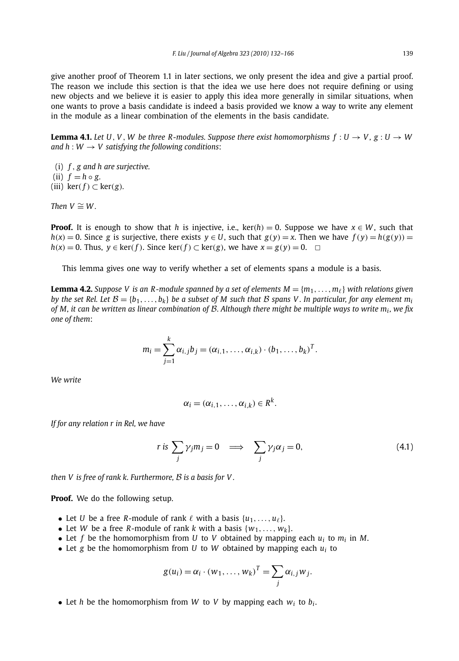give another proof of Theorem 1.1 in later sections, we only present the idea and give a partial proof. The reason we include this section is that the idea we use here does not require defining or using new objects and we believe it is easier to apply this idea more generally in similar situations, when one wants to prove a basis candidate is indeed a basis provided we know a way to write any element in the module as a linear combination of the elements in the basis candidate.

**Lemma 4.1.** Let U, V, W be three R-modules. Suppose there exist homomorphisms  $f: U \to V$ ,  $g: U \to W$ *and h* :  $W \rightarrow V$  *satisfying the following conditions:* 

- (i) *f , g and h are surjective.*
- (ii)  $f = h \circ g$ .
- (iii)  $\ker(f) \subset \ker(g)$ *.*

*Then*  $V \cong W$ 

**Proof.** It is enough to show that *h* is injective, i.e., ker $(h) = 0$ . Suppose we have  $x \in W$ , such that  $h(x) = 0$ . Since g is surjective, there exists  $y \in U$ , such that  $g(y) = x$ . Then we have  $f(y) = h(g(y)) =$ *h*(*x*) = 0. Thus, *y* ∈ ker(*f*). Since ker(*f*) ⊂ ker(*g*), we have *x* = *g*(*y*) = 0. ◯

This lemma gives one way to verify whether a set of elements spans a module is a basis.

**Lemma 4.2.** *Suppose V is an R-module spanned by a set of elements*  $M = \{m_1, \ldots, m_\ell\}$  *with relations given by the set Rel. Let*  $B = \{b_1, \ldots, b_k\}$  *be a subset of M such that B spans V. In particular, for any element*  $m_i$ *of M, it can be written as linear combination of* B*. Although there might be multiple ways to write mi , we fix one of them*:

$$
m_i = \sum_{j=1}^k \alpha_{i,j} b_j = (\alpha_{i,1}, \ldots, \alpha_{i,k}) \cdot (b_1, \ldots, b_k)^T.
$$

*We write*

$$
\alpha_i=(\alpha_{i,1},\ldots,\alpha_{i,k})\in R^k.
$$

*If for any relation r in Rel, we have*

$$
r \text{ is } \sum_{j} \gamma_{j} m_{j} = 0 \implies \sum_{j} \gamma_{j} \alpha_{j} = 0,
$$
\n(4.1)

*then V is free of rank k. Furthermore,* B *is a basis for V .*

**Proof.** We do the following setup.

- Let *U* be a free *R*-module of rank  $\ell$  with a basis  $\{u_1, \ldots, u_\ell\}.$
- Let *W* be a free *R*-module of rank *k* with a basis  $\{w_1, \ldots, w_k\}$ .
- Let *f* be the homomorphism from *U* to *V* obtained by mapping each  $u_i$  to  $m_i$  in *M*.
- Let *g* be the homomorphism from *U* to *W* obtained by mapping each *ui* to

$$
g(u_i) = \alpha_i \cdot (w_1, \ldots, w_k)^T = \sum_j \alpha_{i,j} w_j.
$$

• Let *h* be the homomorphism from *W* to *V* by mapping each  $w_i$  to  $b_i$ .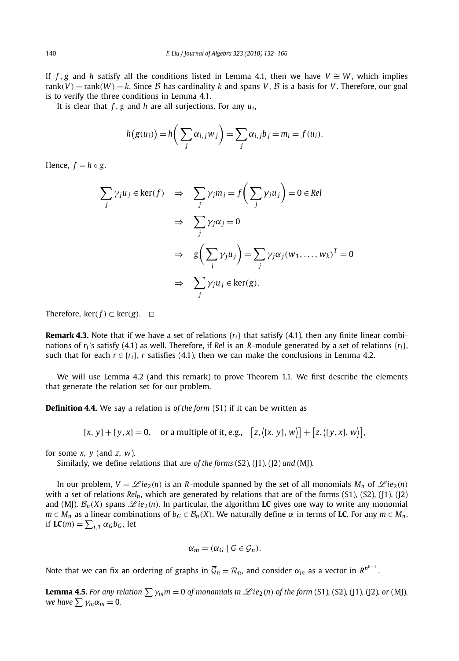If *f*, *g* and *h* satisfy all the conditions listed in Lemma 4.1, then we have  $V \cong W$ , which implies rank $(V)$  = rank $(W)$  = k, Since B has cardinality k and spans V, B is a basis for V. Therefore, our goal is to verify the three conditions in Lemma 4.1.

It is clear that *f , g* and *h* are all surjections. For any *ui* ,

$$
h(g(u_i)) = h\left(\sum_j \alpha_{i,j} w_j\right) = \sum_j \alpha_{i,j} b_j = m_i = f(u_i).
$$

Hence,  $f = h \circ g$ .

$$
\sum_{j} \gamma_{j} u_{j} \in \ker(f) \quad \Rightarrow \quad \sum_{j} \gamma_{j} m_{j} = f\left(\sum_{j} \gamma_{j} u_{j}\right) = 0 \in Rel
$$
\n
$$
\Rightarrow \quad \sum_{j} \gamma_{j} \alpha_{j} = 0
$$
\n
$$
\Rightarrow \quad g\left(\sum_{j} \gamma_{j} u_{j}\right) = \sum_{j} \gamma_{j} \alpha_{j} (w_{1}, \dots, w_{k})^{T} = 0
$$
\n
$$
\Rightarrow \quad \sum_{j} \gamma_{j} u_{j} \in \ker(g).
$$

Therefore,  $\text{ker}(f) \subset \text{ker}(g)$ .  $\Box$ 

**Remark 4.3.** Note that if we have a set of relations  $\{r_i\}$  that satisfy (4.1), then any finite linear combinations of *ri* 's satisfy (4.1) as well. Therefore, if *Rel* is an *R*-module generated by a set of relations {*ri*}, such that for each  $r \in \{r_i\}$ , *r* satisfies (4.1), then we can make the conclusions in Lemma 4.2.

We will use Lemma 4.2 (and this remark) to prove Theorem 1.1. We first describe the elements that generate the relation set for our problem.

**Definition 4.4.** We say a relation is *of the form* (S1) if it can be written as

 $[x, y] + [y, x] = 0$ , or a multiple of it, e.g.,  $[z, (x, y], w)] + [z, (y, x], w)],$ 

for some *x*, *y* (and *z*, *w*).

Similarly, we define relations that are *of the forms* (S2)*,* (J1)*,* (J2) *and* (MJ).

In our problem,  $V = \mathcal{L}ie_2(n)$  is an *R*-module spanned by the set of all monomials  $M_n$  of  $\mathcal{L}ie_2(n)$ with a set of relations *Rel<sub>n</sub>*, which are generated by relations that are of the forms (S1), (S2), (J1), (J2) and (MJ).  $B_n(X)$  spans  $\mathscr{L}ie_2(n)$ . In particular, the algorithm **LC** gives one way to write any monomial  $m \in M_n$  as a linear combinations of  $b_G \in B_n(X)$ . We naturally define  $\alpha$  in terms of **LC**. For any  $m \in M_n$ , if  $LC(m) = \sum_{i,T} \alpha_G b_G$ , let

$$
\alpha_m=(\alpha_G\mid G\in\overline{\mathcal{G}}_n).
$$

Note that we can fix an ordering of graphs in  $\overline{G}_n = \mathcal{R}_n$ , and consider  $\alpha_m$  as a vector in  $R^{n^{n-1}}$ .

**Lemma 4.5.** For any relation  $\sum \gamma_m m = 0$  of monomials in  $\mathscr{L}ie_2(n)$  of the form (S1), (S2), (J1), (J2), or (MJ), *we have*  $\sum \gamma_m \alpha_m = 0$ .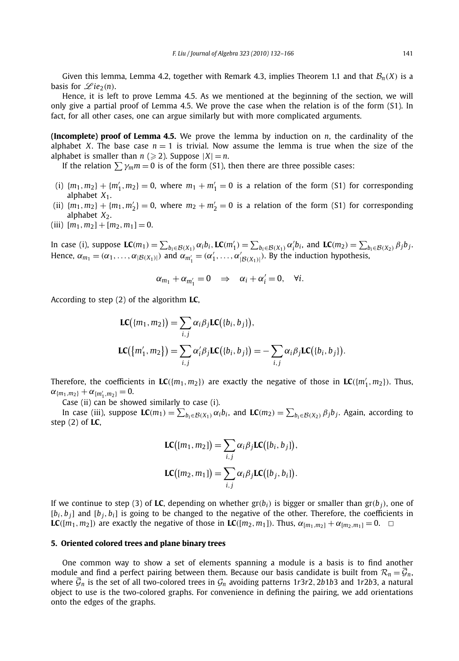Given this lemma, Lemma 4.2, together with Remark 4.3, implies Theorem 1.1 and that  $\mathcal{B}_n(X)$  is a basis for  $\mathscr{L}ie_2(n)$ .

Hence, it is left to prove Lemma 4.5. As we mentioned at the beginning of the section, we will only give a partial proof of Lemma 4.5. We prove the case when the relation is of the form (S1). In fact, for all other cases, one can argue similarly but with more complicated arguments.

**(Incomplete) proof of Lemma 4.5.** We prove the lemma by induction on *n*, the cardinality of the alphabet *X*. The base case  $n = 1$  is trivial. Now assume the lemma is true when the size of the alphabet is smaller than  $n \geqslant 2$ ). Suppose  $|X| = n$ .

If the relation  $\sum \gamma_m m = 0$  is of the form (S1), then there are three possible cases:

- (i)  ${m_1, m_2} + {m'_1, m_2} = 0$ , where  $m_1 + m'_1 = 0$  is a relation of the form (S1) for corresponding alphabet  $X_1$ .
- (ii)  ${m_1, m_2} + {m_1, m'_2} = 0$ , where  $m_2 + m'_2 = 0$  is a relation of the form (S1) for corresponding alphabet  $X_2$ .
- (iii)  $[m_1, m_2] + [m_2, m_1] = 0$ .

In case (i), suppose  $\mathbf{LC}(m_1) = \sum_{b_i \in \mathcal{B}(X_1)} \alpha_i b_i$ ,  $\mathbf{LC}(m'_1) = \sum_{b_i \in \mathcal{B}(X_1)} \alpha'_i b_i$ , and  $\mathbf{LC}(m_2) = \sum_{b_i \in \mathcal{B}(X_2)} \beta_i b_j$ . Hence,  $\alpha_{m_1} = (\alpha_1, \ldots, \alpha_{|\mathcal{B}(X_1)|})$  and  $\alpha_{m'_1} = (\alpha'_1, \ldots, \alpha'_{|\mathcal{B}(X_1)|})$ . By the induction hypothesis,

$$
\alpha_{m_1} + \alpha_{m'_1} = 0 \quad \Rightarrow \quad \alpha_i + \alpha'_i = 0, \quad \forall i.
$$

According to step (2) of the algorithm **LC**,

$$
LC(\lbrace m_1, m_2 \rbrace) = \sum_{i,j} \alpha_i \beta_j LC(\lbrace b_i, b_j \rbrace),
$$
  

$$
LC(\lbrace m'_1, m_2 \rbrace) = \sum_{i,j} \alpha'_i \beta_j LC(\lbrace b_i, b_j \rbrace) = -\sum_{i,j} \alpha_i \beta_j LC(\lbrace b_i, b_j \rbrace).
$$

Therefore, the coefficients in  $LC({m_1, m_2})$  are exactly the negative of those in  $LC({m'_1, m_2})$ . Thus,  $\alpha_{\{m_1,m_2\}} + \alpha_{\{m'_1,m_2\}} = 0.$ 

Case (ii) can be showed similarly to case (i).

In case (iii), suppose  $LC(m_1) = \sum_{b_i \in \mathcal{B}(X_1)} \alpha_i b_i$ , and  $LC(m_2) = \sum_{b_i \in \mathcal{B}(X_2)} \beta_j b_j$ . Again, according to step (2) of **LC**,

$$
LC([m_1, m_2]) = \sum_{i,j} \alpha_i \beta_j LC([b_i, b_j]),
$$
  

$$
LC([m_2, m_1]) = \sum_{i,j} \alpha_i \beta_j LC([b_j, b_i]).
$$

If we continue to step (3) of LC, depending on whether  $gr(b_i)$  is bigger or smaller than  $gr(b_i)$ , one of  $[b_i, b_i]$  and  $[b_i, b_i]$  is going to be changed to the negative of the other. Therefore, the coefficients in  $LC([m_1, m_2])$  are exactly the negative of those in  $LC([m_2, m_1])$ . Thus,  $\alpha_{[m_1, m_2]} + \alpha_{[m_2, m_1]} = 0$ .  $\square$ 

#### **5. Oriented colored trees and plane binary trees**

One common way to show a set of elements spanning a module is a basis is to find another module and find a perfect pairing between them. Because our basis candidate is built from  $\mathcal{R}_n = \overline{\mathcal{G}}_n$ , where  $\bar{G}_n$  is the set of all two-colored trees in  $G_n$  avoiding patterns 1r3r2, 2b1b3 and 1r2b3, a natural object to use is the two-colored graphs. For convenience in defining the pairing, we add orientations onto the edges of the graphs.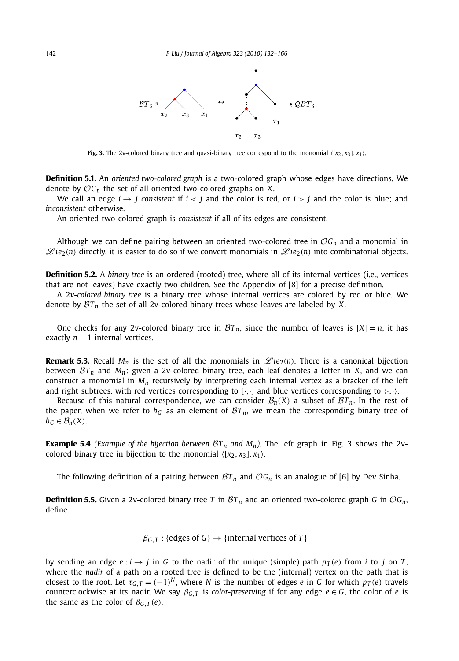

**Fig. 3.** The 2v-colored binary tree and quasi-binary tree correspond to the monomial  $\langle x_2, x_3 |, x_1 \rangle$ .

**Definition 5.1.** An *oriented two-colored graph* is a two-colored graph whose edges have directions. We denote by O*Gn* the set of all oriented two-colored graphs on *X*.

We call an edge  $i \rightarrow j$  consistent if  $i < j$  and the color is red, or  $i > j$  and the color is blue; and *inconsistent* otherwise.

An oriented two-colored graph is *consistent* if all of its edges are consistent.

Although we can define pairing between an oriented two-colored tree in  $OG<sub>n</sub>$  and a monomial in  $\mathscr{L}ie_2(n)$  directly, it is easier to do so if we convert monomials in  $\mathscr{L}ie_2(n)$  into combinatorial objects.

**Definition 5.2.** A *binary tree* is an ordered (rooted) tree, where all of its internal vertices (i.e., vertices that are not leaves) have exactly two children. See the Appendix of [8] for a precise definition.

A 2*v-colored binary tree* is a binary tree whose internal vertices are colored by red or blue. We denote by  $\mathcal{B}T_n$  the set of all 2v-colored binary trees whose leaves are labeled by *X*.

One checks for any 2v-colored binary tree in  $BT_n$ , since the number of leaves is  $|X| = n$ , it has exactly  $n - 1$  internal vertices.

**Remark 5.3.** Recall  $M_n$  is the set of all the monomials in  $\mathscr{L}ie_2(n)$ . There is a canonical bijection between  $BT_n$  and  $M_n$ : given a 2v-colored binary tree, each leaf denotes a letter in *X*, and we can construct a monomial in *Mn* recursively by interpreting each internal vertex as a bracket of the left and right subtrees, with red vertices corresponding to  $[\cdot, \cdot]$  and blue vertices corresponding to  $\langle \cdot, \cdot \rangle$ .

Because of this natural correspondence, we can consider  $\mathcal{B}_n(X)$  a subset of  $\mathcal{B}T_n$ . In the rest of the paper, when we refer to  $b<sub>G</sub>$  as an element of  $\mathcal{B}T_n$ , we mean the corresponding binary tree of  $b_G \in \mathcal{B}_n(X)$ .

**Example 5.4** *(Example of the bijection between*  $BT_n$  *and*  $M_n$ ). The left graph in Fig. 3 shows the 2vcolored binary tree in bijection to the monomial  $\langle [x_2, x_3], x_1 \rangle$ .

The following definition of a pairing between  $\mathcal{B}T_n$  and  $\mathcal{O}G_n$  is an analogue of [6] by Dev Sinha.

**Definition 5.5.** Given a 2v-colored binary tree *T* in  $BT_n$  and an oriented two-colored graph *G* in  $OG_n$ , define

 $\beta$ <sup>*G*</sup>, *T* : {edges of *G*}  $\rightarrow$  {internal vertices of *T*}

by sending an edge  $e : i \rightarrow j$  in *G* to the nadir of the unique (simple) path  $p_T(e)$  from *i* to *j* on *T*, where the *nadir* of a path on a rooted tree is defined to be the (internal) vertex on the path that is closest to the root. Let  $\tau_{G,T} = (-1)^N$ , where *N* is the number of edges *e* in *G* for which  $p_T(e)$  travels counterclockwise at its nadir. We say  $\beta_{G,T}$  is *color-preserving* if for any edge  $e \in G$ , the color of *e* is the same as the color of  $\beta_{G,T}(e)$ .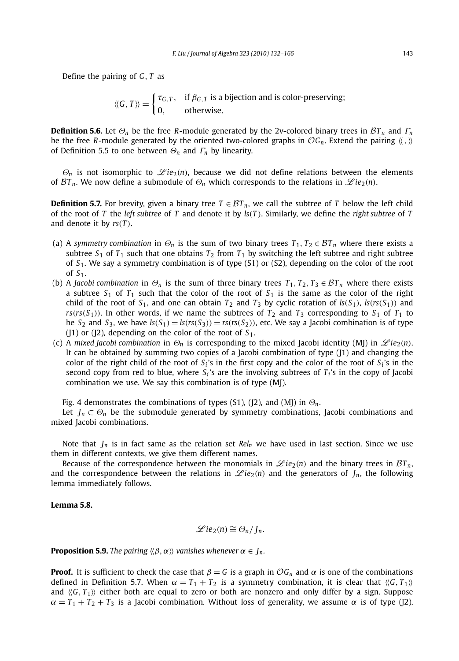Define the pairing of *G, T* as

 $\langle\langle G, T \rangle\rangle = \begin{cases} \tau_{G,T}, & \text{if } \beta_{G,T} \text{ is a bijection and is color-preserving;} \\ 0, & \text{otherwise.} \end{cases}$ 

**Definition 5.6.** Let  $\Theta_n$  be the free *R*-module generated by the 2v-colored binary trees in  $BT_n$  and  $\Gamma_n$ be the free *R*-module generated by the oriented two-colored graphs in  $OG_n$ . Extend the pairing  $\langle\langle,\,\rangle\rangle$ of Definition 5.5 to one between *Θ<sup>n</sup>* and *Γ<sup>n</sup>* by linearity.

 $\Theta_n$  is not isomorphic to  $\mathscr{L}ie_2(n)$ , because we did not define relations between the elements of  $BT_n$ . We now define a submodule of  $\Theta_n$  which corresponds to the relations in  $\mathscr{L}ie_2(n)$ .

**Definition 5.7.** For brevity, given a binary tree  $T \in \mathcal{B}T_n$ , we call the subtree of *T* below the left child of the root of *T* the *left subtree* of *T* and denote it by *ls(T )*. Similarly, we define the *right subtree* of *T* and denote it by *rs(T )*.

- (a) A *symmetry combination* in  $\Theta_n$  is the sum of two binary trees  $T_1, T_2 \in \mathcal{BT}_n$  where there exists a subtree  $S_1$  of  $T_1$  such that one obtains  $T_2$  from  $T_1$  by switching the left subtree and right subtree of *S*1. We say a symmetry combination is of type (S1) or (S2), depending on the color of the root of *S*1.
- (b) A *Jacobi combination* in  $\Theta_n$  is the sum of three binary trees  $T_1, T_2, T_3 \in \mathcal{BT}_n$  where there exists a subtree  $S_1$  of  $T_1$  such that the color of the root of  $S_1$  is the same as the color of the right child of the root of  $S_1$ , and one can obtain  $T_2$  and  $T_3$  by cyclic rotation of  $ls(S_1)$ ,  $ls(rs(S_1))$  and  $rs(rs(S_1))$ . In other words, if we name the subtrees of  $T_2$  and  $T_3$  corresponding to  $S_1$  of  $T_1$  to be S<sub>2</sub> and S<sub>3</sub>, we have  $ls(S_1) = ls(rs(S_3)) = rs(rs(S_2))$ , etc. We say a Jacobi combination is of type (J1) or (J2), depending on the color of the root of *S*1.
- (c) A *mixed Jacobi combination* in  $\Theta_n$  is corresponding to the mixed Jacobi identity (MJ) in  $\mathscr{L}ie_2(n)$ . It can be obtained by summing two copies of a Jacobi combination of type  $(1)$  and changing the color of the right child of the root of  $S_i$ 's in the first copy and the color of the root of  $S_i$ 's in the second copy from red to blue, where  $S_i$ 's are the involving subtrees of  $T_i$ 's in the copy of Jacobi combination we use. We say this combination is of type (MJ).

Fig. 4 demonstrates the combinations of types (S1), (J2), and (MJ) in *Θn*.

Let  $J_n \subset \Theta_n$  be the submodule generated by symmetry combinations, Jacobi combinations and mixed Jacobi combinations.

Note that  $J_n$  is in fact same as the relation set  $Rel_n$  we have used in last section. Since we use them in different contexts, we give them different names.

Because of the correspondence between the monomials in  $\mathscr{L}ie_2(n)$  and the binary trees in  $\mathcal{B}T_n$ , and the correspondence between the relations in  $\mathscr{L}ie_2(n)$  and the generators of  $J_n$ , the following lemma immediately follows.

#### **Lemma 5.8.**

$$
\mathscr{L}ie_2(n)\cong \Theta_n/J_n.
$$

**Proposition 5.9.** *The pairing*  $\langle \beta, \alpha \rangle$  *vanishes whenever*  $\alpha \in J_n$ *.* 

**Proof.** It is sufficient to check the case that  $\beta = G$  is a graph in  $\mathcal{O}G_n$  and  $\alpha$  is one of the combinations defined in Definition 5.7. When  $\alpha = T_1 + T_2$  is a symmetry combination, it is clear that  $\langle G, T_1 \rangle$ and  $\langle\langle G, T_1 \rangle\rangle$  either both are equal to zero or both are nonzero and only differ by a sign. Suppose  $\alpha = T_1 + T_2 + T_3$  is a Jacobi combination. Without loss of generality, we assume  $\alpha$  is of type (J2).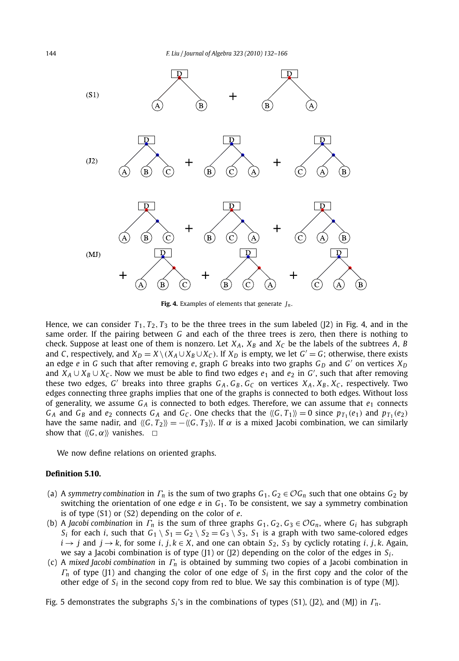

**Fig. 4.** Examples of elements that generate *Jn*.

Hence, we can consider  $T_1, T_2, T_3$  to be the three trees in the sum labeled ( $\overline{2}$ ) in Fig. 4, and in the same order. If the pairing between *G* and each of the three trees is zero, then there is nothing to check. Suppose at least one of them is nonzero. Let  $X_A$ ,  $X_B$  and  $X_C$  be the labels of the subtrees *A*, *B* and *C*, respectively, and  $X_D = X \setminus (X_A \cup X_B \cup X_C)$ . If  $X_D$  is empty, we let  $G' = G$ ; otherwise, there exists an edge *e* in *G* such that after removing *e*, graph *G* breaks into two graphs  $G_p$  and  $G'$  on vertices  $X_p$ and *<sup>X</sup> <sup>A</sup>* ∪ *XB* ∪ *XC* . Now we must be able to find two edges *<sup>e</sup>*<sup>1</sup> and *<sup>e</sup>*<sup>2</sup> in *<sup>G</sup>* , such that after removing these two edges, *G'* breaks into three graphs  $G_A$ ,  $G_B$ ,  $G_C$  on vertices  $X_A$ ,  $X_B$ ,  $X_C$ , respectively. Two edges connecting three graphs implies that one of the graphs is connected to both edges. Without loss of generality, we assume  $G_A$  is connected to both edges. Therefore, we can assume that  $e_1$  connects  $G_A$  and  $G_B$  and  $e_2$  connects  $G_A$  and  $G_C$ . One checks that the  $\langle G, T_1 \rangle = 0$  since  $p_{T_1}(e_1)$  and  $p_{T_1}(e_2)$ have the same nadir, and  $\langle G, T_2 \rangle = -\langle G, T_3 \rangle$ . If  $\alpha$  is a mixed Jacobi combination, we can similarly show that  $\langle\langle G, \alpha \rangle\rangle$  vanishes.  $\Box$ 

We now define relations on oriented graphs.

#### **Definition 5.10.**

- (a) A *symmetry combination* in  $\Gamma_n$  is the sum of two graphs  $G_1, G_2 \in \mathcal{O}G_n$  such that one obtains  $G_2$  by switching the orientation of one edge *e* in *G*1. To be consistent, we say a symmetry combination is of type (S1) or (S2) depending on the color of *e*.
- (b) A *Jacobi combination* in  $\Gamma_n$  is the sum of three graphs  $G_1, G_2, G_3 \in \mathcal{O}G_n$ , where  $G_i$  has subgraph *S<sub>i</sub>* for each *i*, such that  $G_1 \setminus S_1 = G_2 \setminus S_2 = G_3 \setminus S_3$ , *S*<sub>1</sub> is a graph with two same-colored edges *i* → *j* and *j* → *k*, for some *i*, *j*, *k* ∈ *X*, and one can obtain *S*<sub>2</sub>, *S*<sub>3</sub> by cyclicly rotating *i*, *j*, *k*. Again, we say a Jacobi combination is of type (J1) or (J2) depending on the color of the edges in *Si* .
- (c) A *mixed Jacobi combination* in *Γ<sup>n</sup>* is obtained by summing two copies of a Jacobi combination in *Γ<sup>n</sup>* of type (J1) and changing the color of one edge of *Si* in the first copy and the color of the other edge of  $S_i$  in the second copy from red to blue. We say this combination is of type  $(M)$ .

Fig. 5 demonstrates the subgraphs *Si* 's in the combinations of types (S1), (J2), and (MJ) in *Γn*.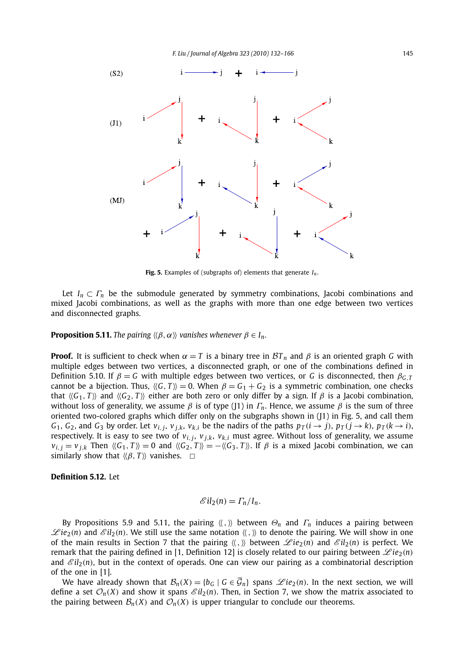

**Fig. 5.** Examples of (subgraphs of) elements that generate *In*.

Let  $I_n \subset \Gamma_n$  be the submodule generated by symmetry combinations, Jacobi combinations and mixed Jacobi combinations, as well as the graphs with more than one edge between two vertices and disconnected graphs.

**Proposition 5.11.** *The pairing*  $\langle \beta, \alpha \rangle$  *vanishes whenever*  $\beta \in I_n$ .

**Proof.** It is sufficient to check when  $\alpha = T$  is a binary tree in  $BT_n$  and  $\beta$  is an oriented graph *G* with multiple edges between two vertices, a disconnected graph, or one of the combinations defined in Definition 5.10. If  $\beta = G$  with multiple edges between two vertices, or *G* is disconnected, then  $\beta_{G,T}$ cannot be a bijection. Thus,  $\langle G, T \rangle = 0$ . When  $\beta = G_1 + G_2$  is a symmetric combination, one checks that  $\langle\langle G_1, T \rangle\rangle$  and  $\langle\langle G_2, T \rangle\rangle$  either are both zero or only differ by a sign. If  $\beta$  is a Jacobi combination, without loss of generality, we assume  $\beta$  is of type (J1) in  $\Gamma_n$ . Hence, we assume  $\beta$  is the sum of three oriented two-colored graphs which differ only on the subgraphs shown in (J1) in Fig. 5, and call them  $G_1$ ,  $G_2$ , and  $G_3$  by order. Let  $v_{i,j}$ ,  $v_{j,k}$ ,  $v_{k,j}$  be the nadirs of the paths  $p_T(i \rightarrow j)$ ,  $p_T(j \rightarrow k)$ ,  $p_T(k \rightarrow i)$ , respectively. It is easy to see two of  $v_{i,j}$ ,  $v_{j,k}$ ,  $v_{k,i}$  must agree. Without loss of generality, we assume  $v_{i,i} = v_{i,k}$  Then  $\langle\langle G_1, T \rangle\rangle = 0$  and  $\langle\langle G_2, T \rangle\rangle = -\langle\langle G_3, T \rangle\rangle$ . If  $\beta$  is a mixed Jacobi combination, we can similarly show that  $\langle \beta, T \rangle$  vanishes.  $\Box$ 

#### **Definition 5.12.** Let

$$
\mathscr{E}il_2(n)=\Gamma_n/I_n.
$$

By Propositions 5.9 and 5.11, the pairing  $\langle \langle , \rangle \rangle$  between  $\Theta_n$  and  $\Gamma_n$  induces a pairing between  $\mathscr{L}ie_2(n)$  and  $\mathscr{L}il_2(n)$ . We still use the same notation  $\langle\langle,\rangle\rangle$  to denote the pairing. We will show in one of the main results in Section 7 that the pairing  $\langle \langle , \rangle \rangle$  between  $\mathscr{L}ie_2(n)$  and  $\mathscr{E}il_2(n)$  is perfect. We remark that the pairing defined in [1, Definition 12] is closely related to our pairing between  $\mathscr{L}ie_2(n)$ and  $\mathscr{E}il_2(n)$ , but in the context of operads. One can view our pairing as a combinatorial description of the one in [1].

We have already shown that  $B_n(X) = \{b_G \mid G \in \overline{\mathcal{G}}_n\}$  spans  $\mathscr{L}ie_2(n)$ . In the next section, we will define a set  $\mathcal{O}_n(X)$  and show it spans  $\mathcal{E}il_2(n)$ . Then, in Section 7, we show the matrix associated to the pairing between  $\mathcal{B}_n(X)$  and  $\mathcal{O}_n(X)$  is upper triangular to conclude our theorems.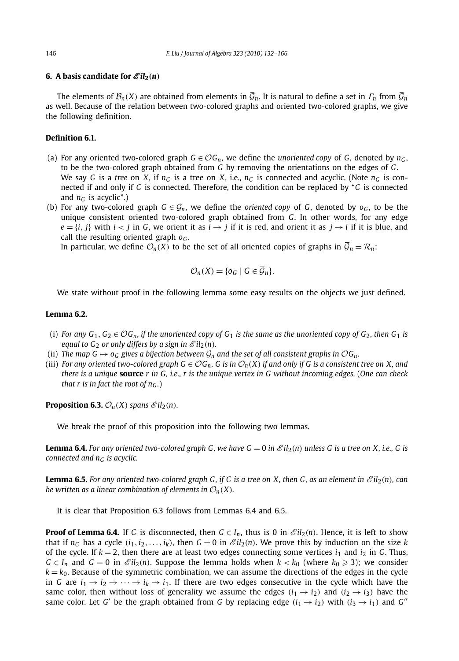#### **6.** A basis candidate for  $\mathscr{E}il_2(n)$

The elements of  $\mathcal{B}_n(X)$  are obtained from elements in  $\bar{\mathcal{G}}_n$ . It is natural to define a set in  $\Gamma_n$  from  $\bar{\mathcal{G}}_n$ as well. Because of the relation between two-colored graphs and oriented two-colored graphs, we give the following definition.

### **Definition 6.1.**

- (a) For any oriented two-colored graph  $G \in \mathcal{O}G_n$ , we define the *unoriented copy* of *G*, denoted by  $n_G$ , to be the two-colored graph obtained from *G* by removing the orientations on the edges of *G*. We say *G* is a *tree* on *X*, if  $n_G$  is a tree on *X*, i.e.,  $n_G$  is connected and acyclic. (Note  $n_G$  is connected if and only if *G* is connected. Therefore, the condition can be replaced by "*G* is connected and  $n_G$  is acyclic".)
- (b) For any two-colored graph  $G \in \mathcal{G}_n$ , we define the *oriented copy* of *G*, denoted by  $o_G$ , to be the unique consistent oriented two-colored graph obtained from *G*. In other words, for any edge  $e = \{i, j\}$  with  $i < j$  in *G*, we orient it as  $i \rightarrow j$  if it is red, and orient it as  $j \rightarrow i$  if it is blue, and call the resulting oriented graph *oG* .

In particular, we define  $\mathcal{O}_n(X)$  to be the set of all oriented copies of graphs in  $\overline{\mathcal{G}}_n = \mathcal{R}_n$ :

$$
\mathcal{O}_n(X) = \{o_G \mid G \in \overline{\mathcal{G}}_n\}.
$$

We state without proof in the following lemma some easy results on the objects we just defined.

#### **Lemma 6.2.**

- (i) *For any*  $G_1, G_2 \in \mathcal{O}G_n$ , if the unoriented copy of  $G_1$  is the same as the unoriented copy of  $G_2$ , then  $G_1$  is *equal to*  $G_2$  *or only differs by a sign in*  $\mathscr{E}il_2(n)$ *.*
- (ii) *The map G*  $\mapsto$  *o<sub>G</sub>* gives a bijection between  $\mathcal{G}_n$  and the set of all consistent graphs in  $\mathcal{O}G_n$ .
- (iii) *For any oriented two-colored graph*  $G \in \mathcal{O}G_n$ *, G is in*  $\mathcal{O}_n(X)$  *if and only if G is a consistent tree on X, and there is a unique* **source** *r in G, i.e., r is the unique vertex in G without incoming edges.* (*One can check that r is in fact the root of*  $n_G$ *.)*

**Proposition 6.3.**  $\mathcal{O}_n(X)$  *spans*  $\mathcal{E}il_2(n)$ *.* 

We break the proof of this proposition into the following two lemmas.

**Lemma 6.4.** For any oriented two-colored graph G, we have  $G = 0$  in  $\mathcal{E}il_2(n)$  unless G is a tree on X, i.e., G is *connected and nG is acyclic.*

**Lemma 6.5.** *For any oriented two-colored graph G, if G is a tree on X, then G, as an element in*  $\mathcal{E}il_2(n)$ *, can be written as a linear combination of elements in*  $\mathcal{O}_n(X)$ *.* 

It is clear that Proposition 6.3 follows from Lemmas 6.4 and 6.5.

**Proof of Lemma 6.4.** If *G* is disconnected, then  $G \in I_n$ , thus is 0 in  $\mathscr{E}il_2(n)$ . Hence, it is left to show that if  $n_G$  has a cycle  $(i_1, i_2, \ldots, i_k)$ , then  $G = 0$  in  $\mathscr{E}il_2(n)$ . We prove this by induction on the size *k* of the cycle. If  $k = 2$ , then there are at least two edges connecting some vertices  $i_1$  and  $i_2$  in *G*. Thus,  $G \in I_n$  and  $G = 0$  in  $\mathscr{E}il_2(n)$ . Suppose the lemma holds when  $k < k_0$  (where  $k_0 \geq 3$ ); we consider  $k = k<sub>0</sub>$ . Because of the symmetric combination, we can assume the directions of the edges in the cycle in *G* are  $i_1 \rightarrow i_2 \rightarrow \cdots \rightarrow i_k \rightarrow i_1$ . If there are two edges consecutive in the cycle which have the same color, then without loss of generality we assume the edges  $(i_1 \rightarrow i_2)$  and  $(i_2 \rightarrow i_3)$  have the same color. Let *G'* be the graph obtained from *G* by replacing edge  $(i_1 \rightarrow i_2)$  with  $(i_3 \rightarrow i_1)$  and *G''*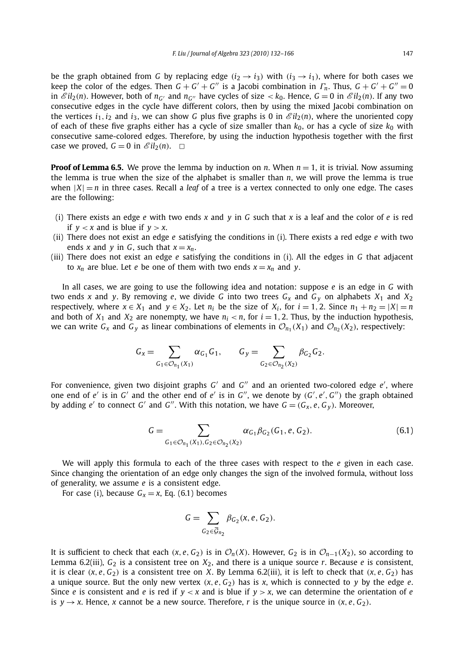be the graph obtained from *G* by replacing edge  $(i_2 \rightarrow i_3)$  with  $(i_3 \rightarrow i_1)$ , where for both cases we keep the color of the edges. Then  $G + G' + G''$  is a Jacobi combination in  $\Gamma_n$ . Thus,  $G + G' + G'' = 0$ in  $\mathscr{E}il_2(n)$ . However, both of  $n_{G'}$  and  $n_{G''}$  have cycles of size  $\lt k_0$ . Hence,  $G = 0$  in  $\mathscr{E}il_2(n)$ . If any two consecutive edges in the cycle have different colors, then by using the mixed Jacobi combination on the vertices  $i_1$ ,  $i_2$  and  $i_3$ , we can show G plus five graphs is 0 in  $\mathscr{E}il_2(n)$ , where the unoriented copy of each of these five graphs either has a cycle of size smaller than  $k_0$ , or has a cycle of size  $k_0$  with consecutive same-colored edges. Therefore, by using the induction hypothesis together with the first case we proved,  $G = 0$  in  $\mathscr{E}il_2(n)$ .  $\Box$ 

**Proof of Lemma 6.5.** We prove the lemma by induction on *n*. When  $n = 1$ , it is trivial. Now assuming the lemma is true when the size of the alphabet is smaller than *n*, we will prove the lemma is true when  $|X| = n$  in three cases. Recall a *leaf* of a tree is a vertex connected to only one edge. The cases are the following:

- (i) There exists an edge *e* with two ends *x* and *y* in *G* such that *x* is a leaf and the color of *e* is red if  $y < x$  and is blue if  $y > x$ .
- (ii) There does not exist an edge *e* satisfying the conditions in (i). There exists a red edge *e* with two ends *x* and *y* in *G*, such that  $x = x_n$ .
- (iii) There does not exist an edge *e* satisfying the conditions in (i). All the edges in *G* that adjacent to  $x_n$  are blue. Let *e* be one of them with two ends  $x = x_n$  and *y*.

In all cases, we are going to use the following idea and notation: suppose *e* is an edge in *G* with two ends *x* and *y*. By removing *e*, we divide *G* into two trees *Gx* and *Gy* on alphabets *X*<sup>1</sup> and *X*<sup>2</sup> respectively, where  $x \in X_1$  and  $y \in X_2$ . Let  $n_i$  be the size of  $X_i$ , for  $i = 1, 2$ . Since  $n_1 + n_2 = |X| = n$ and both of  $X_1$  and  $X_2$  are nonempty, we have  $n_i < n$ , for  $i = 1, 2$ . Thus, by the induction hypothesis, we can write  $G_x$  and  $G_y$  as linear combinations of elements in  $\mathcal{O}_{n_1}(X_1)$  and  $\mathcal{O}_{n_2}(X_2)$ , respectively:

$$
G_x = \sum_{G_1 \in \mathcal{O}_{n_1}(X_1)} \alpha_{G_1} G_1, \qquad G_y = \sum_{G_2 \in \mathcal{O}_{n_2}(X_2)} \beta_{G_2} G_2.
$$

For convenience, given two disjoint graphs  $G'$  and  $G''$  and an oriented two-colored edge  $e'$ , where one end of  $e'$  is in  $G'$  and the other end of  $e'$  is in  $G''$ , we denote by  $(G', e', G'')$  the graph obtained by adding *e'* to connect *G'* and *G''*. With this notation, we have  $G = (G_X, e, G_Y)$ . Moreover,

$$
G = \sum_{G_1 \in \mathcal{O}_{n_1}(X_1), G_2 \in \mathcal{O}_{n_2}(X_2)} \alpha_{G_1} \beta_{G_2}(G_1, e, G_2).
$$
 (6.1)

We will apply this formula to each of the three cases with respect to the *e* given in each case. Since changing the orientation of an edge only changes the sign of the involved formula, without loss of generality, we assume *e* is a consistent edge.

For case (i), because  $G_x = x$ , Eq. (6.1) becomes

$$
G=\sum_{G_2\in \mathcal{\overline{G}}_{n_2}}\beta_{G_2}(x,e,G_2).
$$

It is sufficient to check that each  $(x, e, G_2)$  is in  $\mathcal{O}_n(X)$ . However,  $G_2$  is in  $\mathcal{O}_{n-1}(X_2)$ , so according to Lemma 6.2(iii),  $G_2$  is a consistent tree on  $X_2$ , and there is a unique source *r*. Because *e* is consistent, it is clear  $(x, e, G_2)$  is a consistent tree on *X*. By Lemma 6.2(iii), it is left to check that  $(x, e, G_2)$  has a unique source. But the only new vertex  $(x, e, G_2)$  has is x, which is connected to y by the edge  $e$ . Since *e* is consistent and *e* is red if  $y \le x$  and is blue if  $y > x$ , we can determine the orientation of *e* is  $y \rightarrow x$ . Hence, *x* cannot be a new source. Therefore, *r* is the unique source in  $(x, e, G_2)$ .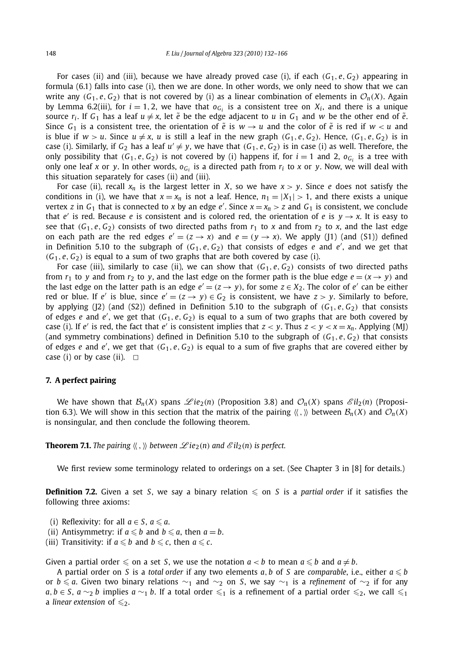For cases (ii) and (iii), because we have already proved case (i), if each  $(G_1, e, G_2)$  appearing in formula (6.1) falls into case (i), then we are done. In other words, we only need to show that we can write any  $(G_1, e, G_2)$  that is not covered by (i) as a linear combination of elements in  $\mathcal{O}_n(X)$ . Again by Lemma 6.2(iii), for  $i = 1, 2$ , we have that  $o_{G_i}$  is a consistent tree on  $X_i$ , and there is a unique source  $r_i$ . If  $G_1$  has a leaf  $u \neq x$ , let  $\tilde{e}$  be the edge adjacent to *u* in  $G_1$  and *w* be the other end of  $\tilde{e}$ . Since  $G_1$  is a consistent tree, the orientation of  $\tilde{e}$  is  $w \rightarrow u$  and the color of  $\tilde{e}$  is red if  $w < u$  and is blue if  $w > u$ . Since  $u \neq x$ , u is still a leaf in the new graph  $(G_1, e, G_2)$ . Hence,  $(G_1, e, G_2)$  is in case (i). Similarly, if  $G_2$  has a leaf  $u' \neq y$ , we have that  $(G_1, e, G_2)$  is in case (i) as well. Therefore, the only possibility that  $(G_1, e, G_2)$  is not covered by (i) happens if, for  $i = 1$  and 2,  $o_G$ , is a tree with only one leaf *x* or *y*. In other words,  $o_{G_i}$  is a directed path from  $r_i$  to *x* or *y*. Now, we will deal with this situation separately for cases (ii) and (iii).

For case (ii), recall  $x_n$  is the largest letter in *X*, so we have  $x > y$ . Since *e* does not satisfy the conditions in (i), we have that  $x = x_n$  is not a leaf. Hence,  $n_1 = |X_1| > 1$ , and there exists a unique vertex *z* in  $G_1$  that is connected to *x* by an edge *e'*. Since  $x = x_n > z$  and  $G_1$  is consistent, we conclude that  $e'$  is red. Because  $e$  is consistent and is colored red, the orientation of  $e$  is  $y \rightarrow x$ . It is easy to see that  $(G_1, e, G_2)$  consists of two directed paths from  $r_1$  to *x* and from  $r_2$  to *x*, and the last edge on each path are the red edges  $e' = (z \rightarrow x)$  and  $e = (y \rightarrow x)$ . We apply (J1) (and (S1)) defined in Definition 5.10 to the subgraph of *(G*1*, <sup>e</sup>, <sup>G</sup>*2*)* that consists of edges *<sup>e</sup>* and *<sup>e</sup>* , and we get that  $(G_1, e, G_2)$  is equal to a sum of two graphs that are both covered by case (i).

For case (iii), similarly to case (ii), we can show that  $(G_1, e, G_2)$  consists of two directed paths from  $r_1$  to *y* and from  $r_2$  to *y*, and the last edge on the former path is the blue edge  $e = (x \rightarrow y)$  and the last edge on the latter path is an edge  $e' = (z \rightarrow y)$ , for some  $z \in X_2$ . The color of  $e'$  can be either red or blue. If *e'* is blue, since  $e' = (z \rightarrow y) \in G_2$  is consistent, we have  $z > y$ . Similarly to before, by applying (J2) (and (S2)) defined in Definition 5.10 to the subgraph of  $(G_1, e, G_2)$  that consists of edges *e* and *e* , we get that *(G*1*, e, G*2*)* is equal to a sum of two graphs that are both covered by case (i). If *e'* is red, the fact that *e'* is consistent implies that  $z < y$ . Thus  $z < y < x = x_n$ . Applying (MJ) (and symmetry combinations) defined in Definition 5.10 to the subgraph of  $(G_1, e, G_2)$  that consists of edges *e* and *e* , we get that *(G*1*, e, G*2*)* is equal to a sum of five graphs that are covered either by case (i) or by case (ii).  $\Box$ 

#### **7. A perfect pairing**

We have shown that  $\mathcal{B}_n(X)$  spans  $\mathcal{L}ie_2(n)$  (Proposition 3.8) and  $\mathcal{O}_n(X)$  spans  $\mathcal{E}il_2(n)$  (Proposition 6.3). We will show in this section that the matrix of the pairing  $\langle \langle , \rangle \rangle$  between  $\mathcal{B}_n(X)$  and  $\mathcal{O}_n(X)$ is nonsingular, and then conclude the following theorem.

**Theorem 7.1.** The pairing  $\langle \langle , \rangle \rangle$  between  $\mathscr{L}ie_2(n)$  and  $\mathscr{E}il_2(n)$  is perfect.

We first review some terminology related to orderings on a set. (See Chapter 3 in [8] for details.)

**Definition 7.2.** Given a set *S*, we say a binary relation  $\leq$  on *S* is a *partial order* if it satisfies the following three axioms:

- (i) Reflexivity: for all  $a \in S$ ,  $a \le a$ .
- (ii) Antisymmetry: if  $a \le b$  and  $b \le a$ , then  $a = b$ .
- (iii) Transitivity: if  $a \le b$  and  $b \le c$ , then  $a \le c$ .

Given a partial order  $\leq$  on a set *S*, we use the notation  $a < b$  to mean  $a \leq b$  and  $a \neq b$ .

A partial order on *S* is a *total order* if any two elements *a*, *b* of *S* are *comparable*, i.e., either  $a \leq b$ or *b a*. Given two binary relations ∼<sup>1</sup> and ∼<sup>2</sup> on *S*, we say ∼<sup>1</sup> is a *refinement* of ∼<sup>2</sup> if for any *a*, *b* ∈ *S*, *a* ∼<sub>2</sub> *b* implies *a* ∼<sub>1</sub> *b*. If a total order  $\leqslant_1$  is a refinement of a partial order  $\leqslant_2$ , we call  $\leqslant_1$ a *linear extension* of  $\leq 2$ .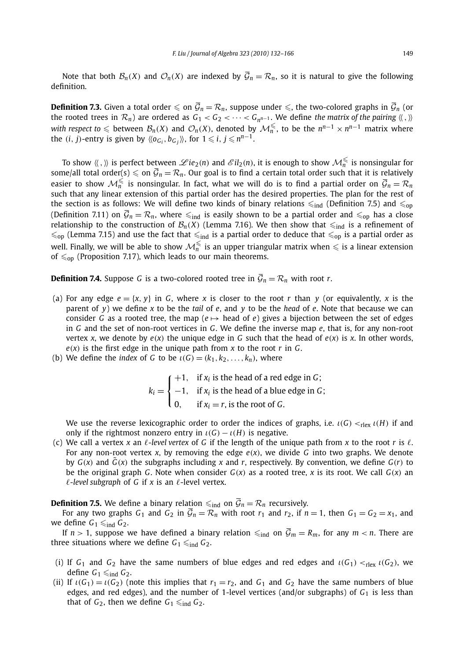Note that both  $\mathcal{B}_n(X)$  and  $\mathcal{O}_n(X)$  are indexed by  $\overline{\mathcal{G}}_n = \mathcal{R}_n$ , so it is natural to give the following definition.

**Definition 7.3.** Given a total order  $\leq$  on  $\overline{G}_n = \mathcal{R}_n$ , suppose under  $\leq$ , the two-colored graphs in  $\overline{G}_n$  (or the rooted trees in  $\mathcal{R}_n$ ) are ordered as  $G_1 < G_2 < \cdots < G_{n^{n-1}}$ . We define the matrix of the pairing  $\langle \langle , \rangle \rangle$ *with respect to*  $\leq$  between  $\mathcal{B}_n(X)$  and  $\mathcal{O}_n(X)$ , denoted by  $\mathcal{M}_n^{\leq}$ , to be the  $n^{n-1} \times n^{n-1}$  matrix where the  $(i, j)$ -entry is given by  $\langle \langle o_{G_i}, b_{G_j} \rangle \rangle$ , for  $1 \leq i, j \leq n^{n-1}$ .

To show  $\langle \langle , \rangle \rangle$  is perfect between  $\mathscr{L}ie_2(n)$  and  $\mathscr{L}il_2(n)$ , it is enough to show  $\mathcal{M}_n^{\leq}$  is nonsingular for some/all total order(s)  $\leq$  on  $\overline{G}_n = \mathcal{R}_n$ . Our goal is to find a certain total order such that it is relatively easier to show  $\mathcal{M}_n^{\leq}$  is nonsingular. In fact, what we will do is to find a partial order on  $\overline{\mathcal{G}}_n = \mathcal{R}_n$ such that any linear extension of this partial order has the desired properties. The plan for the rest of the section is as follows: We will define two kinds of binary relations  $\leq_{ind}$  (Definition 7.5) and  $\leq_{op}$ (Definition 7.11) on  $\bar{G}_n = \mathcal{R}_n$ , where  $\leq_{\text{ind}}$  is easily shown to be a partial order and  $\leq_{\text{op}}$  has a close relationship to the construction of  $\mathcal{B}_n(X)$  (Lemma 7.16). We then show that  $\leq_{ind}$  is a refinement of  $\leq_{\text{op}}$  (Lemma 7.15) and use the fact that  $\leq_{\text{ind}}$  is a partial order to deduce that  $\leq_{\text{op}}$  is a partial order as well. Finally, we will be able to show  $\mathcal{M}_n^{\leq}$  is an upper triangular matrix when  $\leq$  is a linear extension of  $\leq_{\text{op}}$  (Proposition 7.17), which leads to our main theorems.

**Definition 7.4.** Suppose *G* is a two-colored rooted tree in  $\overline{G}_n = \mathcal{R}_n$  with root *r*.

- (a) For any edge  $e = \{x, y\}$  in *G*, where *x* is closer to the root *r* than *y* (or equivalently, *x* is the parent of *y*) we define *x* to be the *tail* of *e*, and *y* to be the *head* of *e*. Note that because we can consider *G* as a rooted tree, the map ( $e \mapsto$  head of *e*) gives a bijection between the set of edges in *G* and the set of non-root vertices in *G*. We define the inverse map *e*, that is, for any non-root vertex *x*, we denote by  $e(x)$  the unique edge in *G* such that the head of  $e(x)$  is *x*. In other words,  $e(x)$  is the first edge in the unique path from  $x$  to the root  $r$  in  $G$ .
- (b) We define the *index* of *G* to be  $\iota(G) = (k_1, k_2, \ldots, k_n)$ , where

$$
k_i = \begin{cases} +1, & \text{if } x_i \text{ is the head of a red edge in } G; \\ -1, & \text{if } x_i \text{ is the head of a blue edge in } G; \\ 0, & \text{if } x_i = r \text{, is the root of } G. \end{cases}
$$

We use the reverse lexicographic order to order the indices of graphs, i.e.  $\iota(G) <_{r \leq r} \iota(H)$  if and only if the rightmost nonzero entry in  $\iota(G) - \iota(H)$  is negative.

(c) We call a vertex *x* an  $\ell$ -level vertex of G if the length of the unique path from *x* to the root *r* is  $\ell$ . For any non-root vertex *x*, by removing the edge *e(x)*, we divide *G* into two graphs. We denote by  $G(x)$  and  $\tilde{G}(x)$  the subgraphs including x and r, respectively. By convention, we define  $G(r)$  to be the original graph *G*. Note when consider  $G(x)$  as a rooted tree, *x* is its root. We call  $G(x)$  an  $\ell$ -level subgraph of *G* if *x* is an  $\ell$ -level vertex.

**Definition 7.5.** We define a binary relation  $\leq_{\text{ind}}$  on  $\overline{\mathcal{G}}_n = \mathcal{R}_n$  recursively.

For any two graphs  $G_1$  and  $G_2$  in  $\overline{G}_n = \mathcal{R}_n$  with root  $r_1$  and  $r_2$ , if  $n = 1$ , then  $G_1 = G_2 = x_1$ , and we define  $G_1 \leq \text{ind } G_2$ .

If  $n > 1$ , suppose we have defined a binary relation  $\leq_{ind}$  on  $\overline{\mathcal{G}}_m = R_m$ , for any  $m < n$ . There are three situations where we define  $G_1 \leq \n\mathbf{G}_2$ .

- (i) If  $G_1$  and  $G_2$  have the same numbers of blue edges and red edges and  $\iota(G_1) <_{\text{rlex}} \iota(G_2)$ , we define  $G_1 \leq \n{ind } G_2$ .
- (ii) If  $\iota(G_1) = \iota(G_2)$  (note this implies that  $r_1 = r_2$ , and  $G_1$  and  $G_2$  have the same numbers of blue edges, and red edges), and the number of 1-level vertices (and/or subgraphs) of *G*<sup>1</sup> is less than that of  $G_2$ , then we define  $G_1 \leq \text{ind } G_2$ .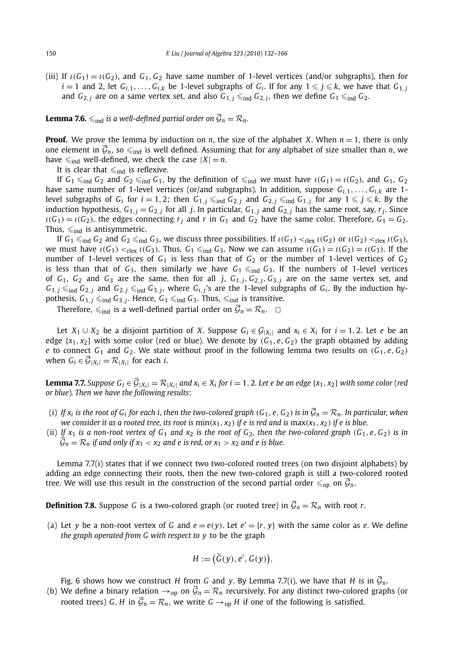(iii) If  $\iota(G_1) = \iota(G_2)$ , and  $G_1, G_2$  have same number of 1-level vertices (and/or subgraphs), then for  $i = 1$  and 2, let  $G_{i,1}, \ldots, G_{i,k}$  be 1-level subgraphs of  $G_i$ . If for any  $1 \leq i \leq k$ , we have that  $G_{1,i}$ and  $G_{2,i}$  are on a same vertex set, and also  $G_{1,i} \leq \text{ind } G_{2,i}$ , then we define  $G_1 \leq \text{ind } G_2$ .

**Lemma 7.6.**  $\leq_{\text{ind}}$  *is a well-defined partial order on*  $\overline{\mathcal{G}}_n = \mathcal{R}_n$ *.* 

**Proof.** We prove the lemma by induction on *n*, the size of the alphabet *X*. When  $n = 1$ , there is only one element in  $\bar{\mathcal{G}}_n$ , so  $\leq_{\text{ind}}$  is well defined. Assuming that for any alphabet of size smaller than *n*, we have  $\leq_{\text{ind}}$  well-defined, we check the case  $|X| = n$ .

It is clear that  $\leq_{\text{ind}}$  is reflexive.

If  $G_1 \leq_{\text{ind}} G_2$  and  $G_2 \leq_{\text{ind}} G_1$ , by the definition of  $\leq_{\text{ind}}$  we must have  $\iota(G_1) = \iota(G_2)$ , and  $G_1$ ,  $G_2$ have same number of 1-level vertices (or/and subgraphs). In addition, suppose  $G_{i,1},...,G_{i,k}$  are 1level subgraphs of  $G_i$  for  $i = 1, 2$ ; then  $G_{1,i} \leq \text{ind } G_{2,i}$  and  $G_{2,i} \leq \text{ind } G_{1,i}$  for any  $1 \leq i \leq k$ . By the induction hypothesis,  $G_{1,j} = G_{2,j}$  for all *j*. In particular,  $G_{1,j}$  and  $G_{2,j}$  has the same root, say,  $r_j$ . Since  $\iota(G_1) = \iota(G_2)$ , the edges connecting  $r_i$  and  $r$  in  $G_1$  and  $G_2$  have the same color. Therefore,  $G_1 = G_2$ . Thus,  $\leqslant_{\text{ind}}$  is antisymmetric.

If  $G_1 \leq_{ind} G_2$  and  $G_2 \leq_{ind} G_3$ , we discuss three possibilities. If  $\iota(G_1) <_{rlex} \iota(G_2)$  or  $\iota(G_2) <_{rlex} \iota(G_3)$ , we must have  $ι(G_1) <sub>rlex</sub> *ι*(G_3)$ . Thus,  $G_1 \leq_{ind} G_3$ . Now we can assume  $ι(G_1) = *ι*(G_2) = *ι*(G_3)$ . If the number of 1-level vertices of  $G_1$  is less than that of  $G_2$  or the number of 1-level vertices of  $G_2$ is less than that of  $G_3$ , then similarly we have  $G_1 \leq_{ind} G_3$ . If the numbers of 1-level vertices of  $G_1$ ,  $G_2$  and  $G_3$  are the same, then for all *j*,  $G_{1,j}$ ,  $G_{2,j}$ ,  $G_{3,j}$  are on the same vertex set, and  $G_{1,j} \leq_{ind} G_{2,j}$  and  $G_{2,j} \leq_{ind} G_{3,j}$ , where  $G_{i,j}$ 's are the 1-level subgraphs of  $G_i$ . By the induction hypothesis,  $G_{1,j} \leq \text{ind } G_{3,j}$ . Hence,  $G_1 \leq \text{ind } G_3$ . Thus,  $\leq \text{ind } G$  is transitive.

Therefore,  $\leq_{\text{ind}}$  is a well-defined partial order on  $\overline{\mathcal{G}}_n = \mathcal{R}_n$ .  $\Box$ 

Let *X*<sub>1</sub> ∪ *X*<sub>2</sub> be a disjoint partition of *X*. Suppose  $G_i \in \mathcal{G}_{|X_i|}$  and  $x_i \in X_i$  for  $i = 1, 2$ . Let *e* be an edge  $\{x_1, x_2\}$  with some color (red or blue). We denote by  $(G_1, e, G_2)$  the graph obtained by adding *e* to connect  $G_1$  and  $G_2$ . We state without proof in the following lemma two results on  $(G_1, e, G_2)$ when  $G_i \in \overline{\mathcal{G}}_{|X_i|} = \mathcal{R}_{|X_i|}$  for each *i*.

**Lemma 7.7.** Suppose  $G_i \in \overline{G}_{|X_i|} = \mathcal{R}_{|X_i|}$  and  $x_i \in X_i$  for  $i = 1, 2$ . Let e be an edge  $\{x_1, x_2\}$  with some color (red *or blue*)*. Then we have the following results*:

- (i) If  $x_i$  is the root of  $G_i$  for each i, then the two-colored graph  $(G_1, e, G_2)$  is in  $\overline{G}_n = \mathcal{R}_n$ . In particular, when *we consider it as a rooted tree, its root is*  $\min(x_1, x_2)$  *if e is red and is*  $\max(x_1, x_2)$  *if e is blue.*
- (ii) If  $x_1$  is a non-root vertex of  $G_1$  and  $x_2$  is the root of  $G_2$ , then the two-colored graph  $(G_1, e, G_2)$  is in  $\overline{G}_n = \mathcal{R}_n$  *if and only if*  $x_1 < x_2$  *and e is red, or*  $x_1 > x_2$  *and e is blue.*

Lemma 7.7(i) states that if we connect two two-colored rooted trees (on two disjoint alphabets) by adding an edge connecting their roots, then the new two-colored graph is still a two-colored rooted tree. We will use this result in the construction of the second partial order  $\leq_{\text{op}}$  on  $\overline{\mathcal{G}}_n$ .

**Definition 7.8.** Suppose *G* is a two-colored graph (or rooted tree) in  $\overline{G}_n = \mathcal{R}_n$  with root *r*.

(a) Let *y* be a non-root vertex of G and  $e = e(y)$ . Let  $e' = \{r, y\}$  with the same color as *e*. We define *the graph operated from G with respect to y* to be the graph

$$
H := (\tilde{G}(y), e', G(y)).
$$

Fig. 6 shows how we construct *H* from *G* and *y*. By Lemma 7.7(i), we have that *H* is in  $\mathcal{G}_n$ .

(b) We define a binary relation  $\rightarrow_{op}$  on  $\mathcal{G}_n = \mathcal{R}_n$  recursively. For any distinct two-colored graphs (or rooted trees) *G*, *H* in  $\overline{G}_n = \mathcal{R}_n$ , we write  $G \rightarrow_{\text{op}} H$  if one of the following is satisfied.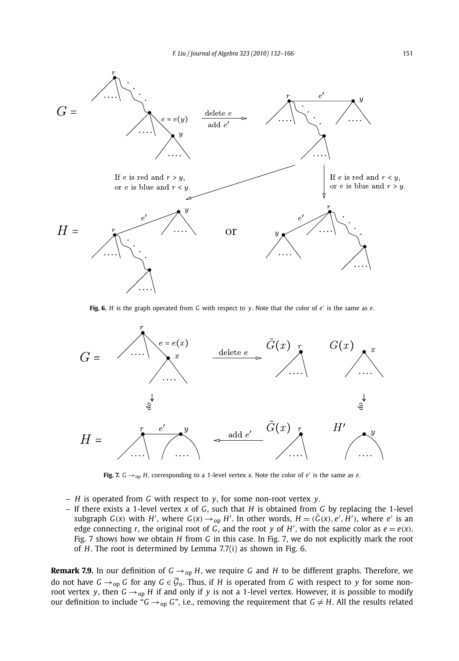

**Fig. 6.** *H* is the graph operated from *G* with respect to *y*. Note that the color of *e* is the same as *e*.



**Fig. 7.**  $G \rightarrow_{op} H$ , corresponding to a 1-level vertex *x*. Note the color of *e'* is the same as *e*.

- *H* is operated from *G* with respect to *y*, for some non-root vertex *y*.
- If there exists a 1-level vertex *x* of *G*, such that *H* is obtained from *G* by replacing the 1-level subgraph  $G(x)$  with H', where  $G(x) \rightarrow_{op} H'$ . In other words,  $H = (\tilde{G}(x), e', H')$ , where e' is an edge connecting *r*, the original root of *G*, and the root *y* of *H'*, with the same color as  $e = e(x)$ . Fig. 7 shows how we obtain *H* from *G* in this case. In Fig. 7, we do not explicitly mark the root of *H*. The root is determined by Lemma 7.7(i) as shown in Fig. 6.

**Remark 7.9.** In our definition of  $G \rightarrow_{op} H$ , we require G and H to be different graphs. Therefore, we do not have  $G \rightarrow_{op} G$  for any  $G \in \overline{G}_n$ . Thus, if *H* is operated from *G* with respect to *y* for some nonroot vertex *y*, then  $G \rightarrow_{op} H$  if and only if *y* is not a 1-level vertex. However, it is possible to modify our definition to include " $G \rightarrow_{op} G$ ", i.e., removing the requirement that  $G \neq H$ . All the results related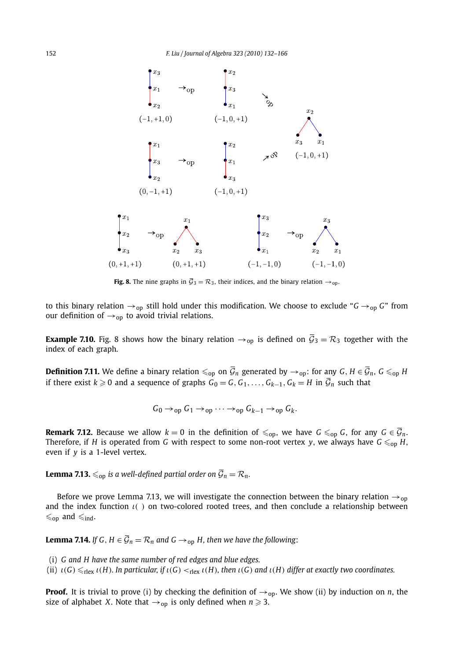

**Fig. 8.** The nine graphs in  $\overline{G}_3 = \mathcal{R}_3$ , their indices, and the binary relation  $\rightarrow_{op}$ .

to this binary relation →op still hold under this modification. We choose to exclude "*G* →op *G*" from our definition of  $\rightarrow$ <sub>op</sub> to avoid trivial relations.

**Example 7.10.** Fig. 8 shows how the binary relation  $\rightarrow$ <sub>op</sub> is defined on  $\overline{\mathcal{G}}_3 = \mathcal{R}_3$  together with the index of each graph.

**Definition 7.11.** We define a binary relation  $\leq_{\text{op}}$  on  $\overline{\mathcal{G}}_n$  generated by  $\rightarrow_{\text{op}}$ : for any *G*, *H*  $\in$   $\overline{\mathcal{G}}_n$ , *G*  $\leq_{\text{op}}$  *H* if there exist  $k ≥ 0$  and a sequence of graphs  $G_0 = G, G_1, ..., G_{k-1}, G_k = H$  in  $\overline{G}_n$  such that

$$
G_0 \rightarrow_{\text{op}} G_1 \rightarrow_{\text{op}} \cdots \rightarrow_{\text{op}} G_{k-1} \rightarrow_{\text{op}} G_k.
$$

**Remark 7.12.** Because we allow  $k = 0$  in the definition of  $\leq_{\text{op}}$ , we have  $G \leq_{\text{op}} G$ , for any  $G \in \overline{\mathcal{G}}_n$ . Therefore, if *H* is operated from *G* with respect to some non-root vertex *y*, we always have  $G \leq_{\text{op}} H$ , even if *y* is a 1-level vertex.

**Lemma 7.13.**  $\leq_{\text{op}}$  is a well-defined partial order on  $\overline{\mathcal{G}}_n = \mathcal{R}_n$ .

Before we prove Lemma 7.13, we will investigate the connection between the binary relation  $\rightarrow_{op}$ and the index function *ι( )* on two-colored rooted trees, and then conclude a relationship between  $\leqslant_{\text{op}}$  and  $\leqslant_{\text{ind}}$ .

**Lemma 7.14.** *If G*,  $H \in \overline{G}_n = \mathcal{R}_n$  *and G*  $\rightarrow$ <sub>op</sub> *H*, *then we have the following*:

- (i) *G and H have the same number of red edges and blue edges.*
- (ii)  $\iota(G) \leq_{\text{rlex}} \iota(H)$ . In particular, if  $\iota(G) <_{\text{rlex}} \iota(H)$ , then  $\iota(G)$  and  $\iota(H)$  differ at exactly two coordinates.

**Proof.** It is trivial to prove (i) by checking the definition of  $\rightarrow$ <sub>op</sub>. We show (ii) by induction on *n*, the size of alphabet *X*. Note that  $\rightarrow$  <sub>op</sub> is only defined when  $n \geqslant 3$ .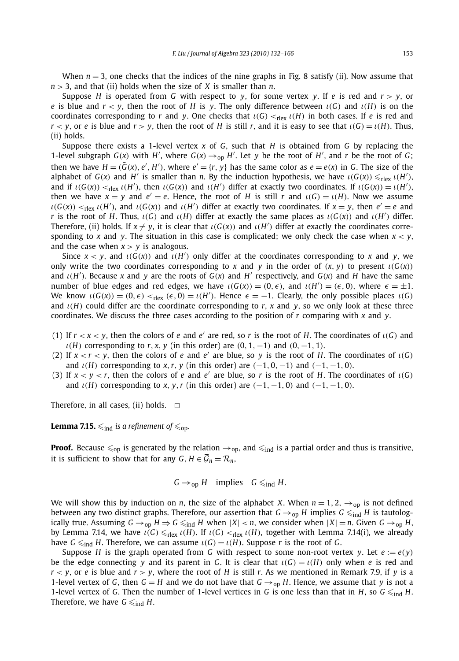When  $n = 3$ , one checks that the indices of the nine graphs in Fig. 8 satisfy (ii). Now assume that *n >* 3, and that (ii) holds when the size of *X* is smaller than *n*.

Suppose *H* is operated from *G* with respect to *y*, for some vertex *y*. If *e* is red and  $r > y$ , or *e* is blue and  $r < y$ , then the root of *H* is *y*. The only difference between  $\iota(G)$  and  $\iota(H)$  is on the coordinates corresponding to *r* and *y*. One checks that  $\iota(G) <_{r|ex} \iota(H)$  in both cases. If *e* is red and *r*  $\lt$  *y*, or *e* is blue and *r*  $>$  *y*, then the root of *H* is still *r*, and it is easy to see that *ι(G)* = *ι(H)*. Thus, (ii) holds.

Suppose there exists a 1-level vertex *x* of *G*, such that *H* is obtained from *G* by replacing the 1-level subgraph  $G(x)$  with  $H'$ , where  $G(x) \rightarrow_{\text{op}} H'$ . Let *y* be the root of  $H'$ , and *r* be the root of *G*; then we have  $H = (\tilde{G}(x), e', H')$ , where  $e' = \{r, y\}$  has the same color as  $e = e(x)$  in G. The size of the alphabet of  $G(x)$  and  $H'$  is smaller than *n*. By the induction hypothesis, we have  $\iota(G(x)) \leq_{\text{rlex}} \iota(H')$ , and if  $\iota(G(x)) <_{r \mid ex} \iota(H')$ , then  $\iota(G(x))$  and  $\iota(H')$  differ at exactly two coordinates. If  $\iota(G(x)) = \iota(H')$ , then we have  $x = y$  and  $e' = e$ . Hence, the root of *H* is still *r* and  $\iota(G) = \iota(H)$ . Now we assume  $\iota(G(x)) <_{rlex} \iota(H')$ , and  $\iota(G(x))$  and  $\iota(H')$  differ at exactly two coordinates. If  $x = y$ , then  $e' = e$  and *r* is the root of *H*. Thus,  $\iota(G)$  and  $\iota(H)$  differ at exactly the same places as  $\iota(G(x))$  and  $\iota(H')$  differ. Therefore, (ii) holds. If  $x \neq y$ , it is clear that  $\iota(G(x))$  and  $\iota(H')$  differ at exactly the coordinates corresponding to *x* and *y*. The situation in this case is complicated; we only check the case when  $x < y$ , and the case when  $x > y$  is analogous.

Since  $x < y$ , and  $\iota(G(x))$  and  $\iota(H')$  only differ at the coordinates corresponding to x and y, we only write the two coordinates corresponding to *x* and *y* in the order of  $(x, y)$  to present  $\iota(G(x))$ and *ι(H )*. Because *x* and *y* are the roots of *G(x)* and *H* respectively, and *G(x)* and *H* have the same number of blue edges and red edges, we have  $\iota(G(x)) = (0, \epsilon)$ , and  $\iota(H') = (\epsilon, 0)$ , where  $\epsilon = \pm 1$ . We know  $\iota(G(x)) = (0, \epsilon) <_{rlex} (\epsilon, 0) = \iota(H')$ . Hence  $\epsilon = -1$ . Clearly, the only possible places  $\iota(G)$ and  $\iota$ (*H*) could differ are the coordinate corresponding to *r*, *x* and *y*, so we only look at these three coordinates. We discuss the three cases according to the position of *r* comparing with *x* and *y*.

- (1) If  $r < x < y$ , then the colors of *e* and *e'* are red, so *r* is the root of *H*. The coordinates of  $\iota(G)$  and  $\iota$ (*H*) corresponding to *r*, *x*, *y* (in this order) are  $(0, 1, -1)$  and  $(0, -1, 1)$ .
- (2) If  $x < r < y$ , then the colors of *e* and *e'* are blue, so *y* is the root of *H*. The coordinates of  $\iota(G)$ and  $\iota$ (*H*) corresponding to *x*, *r*, *y* (in this order) are  $(-1, 0, -1)$  and  $(-1, -1, 0)$ .
- (3) If  $x < y < r$ , then the colors of *e* and *e'* are blue, so *r* is the root of *H*. The coordinates of  $\iota(G)$ and  $\iota$ (*H*) corresponding to *x*, *y*, *r* (in this order) are  $(-1, -1, 0)$  and  $(-1, -1, 0)$ .

Therefore, in all cases, (ii) holds.  $\Box$ 

**Lemma 7.15.**  $\leq$ <sub>ind</sub> *is a refinement of*  $\leq$ <sub>op</sub>.

**Proof.** Because  $\leq_{op}$  is generated by the relation  $\rightarrow_{op}$ , and  $\leq_{ind}$  is a partial order and thus is transitive, it is sufficient to show that for any  $G, H \in \overline{\mathcal{G}}_n = \mathcal{R}_n$ ,

$$
G \to_{\text{op}} H \quad \text{implies} \quad G \leq_{\text{ind}} H.
$$

We will show this by induction on *n*, the size of the alphabet *X*. When  $n = 1, 2, \rightarrow_{\text{on}}$  is not defined between any two distinct graphs. Therefore, our assertion that  $G \rightarrow_{\text{op}} H$  implies  $G \leq_{\text{ind}} H$  is tautologically true. Assuming  $G \rightarrow_{op} H \Rightarrow G \leq_{ind} H$  when  $|X| < n$ , we consider when  $|X| = n$ . Given  $G \rightarrow_{op} H$ , by Lemma 7.14, we have  $ι(G) \leq_{r \leq \frac{r}{r}}(H)$ . If  $ι(G) <_{r \leq \frac{r}{r}}(H)$ , together with Lemma 7.14(i), we already have  $G \leq \text{ind } H$ . Therefore, we can assume  $\iota(G) = \iota(H)$ . Suppose *r* is the root of *G*.

Suppose *H* is the graph operated from *G* with respect to some non-root vertex *y*. Let  $e := e(y)$ be the edge connecting *y* and its parent in *G*. It is clear that  $\iota(G) = \iota(H)$  only when *e* is red and  $r < y$ , or *e* is blue and  $r > y$ , where the root of *H* is still *r*. As we mentioned in Remark 7.9, if  $y$  is a 1-level vertex of *G*, then  $G = H$  and we do not have that  $G \rightarrow_{\text{op}} H$ . Hence, we assume that *y* is not a 1-level vertex of *G*. Then the number of 1-level vertices in *G* is one less than that in *H*, so  $G \leq_{ind} H$ . Therefore, we have  $G \leq_{ind} H$ .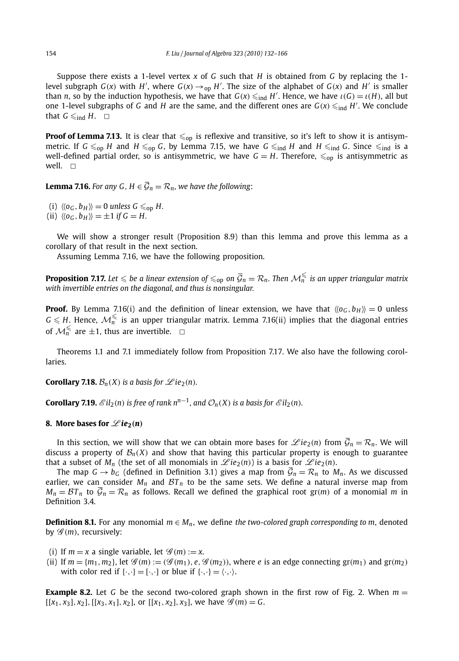Suppose there exists a 1-level vertex *x* of *G* such that *H* is obtained from *G* by replacing the 1 level subgraph *G*(*x*) with *H'*, where *G*(*x*)  $\rightarrow$ <sub>op</sub> *H'*. The size of the alphabet of *G*(*x*) and *H'* is smaller than *n*, so by the induction hypothesis, we have that  $G(x) \leqslant_{\text{ind}} H'$ . Hence, we have  $\iota(G) = \iota(H)$ , all but one 1-level subgraphs of *G* and *H* are the same, and the different ones are  $G(x) \leq_{\text{ind}} H'$ . We conclude that  $G \leqslant_{\text{ind}} H$ .  $\Box$ 

**Proof of Lemma 7.13.** It is clear that  $\leq_{\text{op}}$  is reflexive and transitive, so it's left to show it is antisymmetric. If  $G \leq_{\text{op}} H$  and  $H \leq_{\text{op}} G$ , by Lemma 7.15, we have  $G \leq_{\text{ind}} H$  and  $H \leq_{\text{ind}} G$ . Since  $\leq_{\text{ind}}$  is a well-defined partial order, so is antisymmetric, we have  $G = H$ . Therefore,  $\leq_{\text{on}}$  is antisymmetric as well.  $\Box$ 

**Lemma 7.16.** *For any G*,  $H \in \overline{\mathcal{G}}_n = \mathcal{R}_n$ *, we have the following:* 

(i)  $\langle \langle o_G, b_H \rangle \rangle = 0$  *unless*  $G \leq_{\text{op}} H$ .

 $(iii) \langle \langle o_G, b_H \rangle \rangle = \pm 1$  *if*  $G = H$ .

We will show a stronger result (Proposition 8.9) than this lemma and prove this lemma as a corollary of that result in the next section.

Assuming Lemma 7.16, we have the following proposition.

**Proposition 7.17.** Let  $\leqslant$  be a linear extension of  $\leqslant_{\text{op}}$  on  $\overline{\mathcal{G}}_n = \mathcal{R}_n$ . Then  $\mathcal{M}_n^{\leqslant}$  is an upper triangular matrix *with invertible entries on the diagonal, and thus is nonsingular.*

**Proof.** By Lemma 7.16(i) and the definition of linear extension, we have that  $\langle \langle o_G, b_H \rangle \rangle = 0$  unless  $G \leqslant H$ . Hence,  $\mathcal{M}_n^{\leqslant}$  is an upper triangular matrix. Lemma 7.16(ii) implies that the diagonal entries of  $\mathcal{M}_n^{\leqslant}$  are  $\pm 1$ , thus are invertible.  $\Box$ 

Theorems 1.1 and 7.1 immediately follow from Proposition 7.17. We also have the following corollaries.

**Corollary 7.18.**  $\mathcal{B}_n(X)$  *is a basis for*  $\mathcal{L}ie_2(n)$ *.* 

**Corollary 7.19.**  $\mathscr{E}il_2(n)$  is free of rank  $n^{n-1}$ , and  $\mathcal{O}_n(X)$  is a basis for  $\mathscr{E}il_2(n)$ *.* 

#### **8.** More bases for  $\mathscr{L}ie_2(n)$

In this section, we will show that we can obtain more bases for  $\mathscr{L}ie_2(n)$  from  $\overline{\mathcal{G}}_n = \mathcal{R}_n$ . We will discuss a property of  $\mathcal{B}_n(X)$  and show that having this particular property is enough to guarantee that a subset of  $M_n$  (the set of all monomials in  $\mathscr{L}ie_2(n)$ ) is a basis for  $\mathscr{L}ie_2(n)$ .

The map  $G \to b_G$  (defined in Definition 3.1) gives a map from  $\overline{G}_n = \mathcal{R}_n$  to  $M_n$ . As we discussed earlier, we can consider  $M_n$  and  $BT_n$  to be the same sets. We define a natural inverse map from  $M_n = \mathcal{B}T_n$  to  $\bar{\mathcal{G}}_n = \mathcal{R}_n$  as follows. Recall we defined the graphical root gr(*m*) of a monomial *m* in Definition 3.4.

**Definition 8.1.** For any monomial  $m ∈ M_n$ , we define the two-colored graph corresponding to m, denoted by  $\mathscr{G}(m)$ , recursively:

(i) If  $m = x$  a single variable, let  $\mathscr{G}(m) := x$ .

(ii) If  $m = \{m_1, m_2\}$ , let  $\mathcal{G}(m) := (\mathcal{G}(m_1), e, \mathcal{G}(m_2))$ , where e is an edge connecting  $gr(m_1)$  and  $gr(m_2)$ with color red if  $\{\cdot,\cdot\} = [\cdot,\cdot]$  or blue if  $\{\cdot,\cdot\} = \langle\cdot,\cdot\rangle$ .

**Example 8.2.** Let G be the second two-colored graph shown in the first row of Fig. 2. When  $m =$  $[(x_1, x_3], x_2], [[x_3, x_1], x_2],$  or  $[[x_1, x_2], x_3],$  we have  $\mathscr{G}(m) = G$ .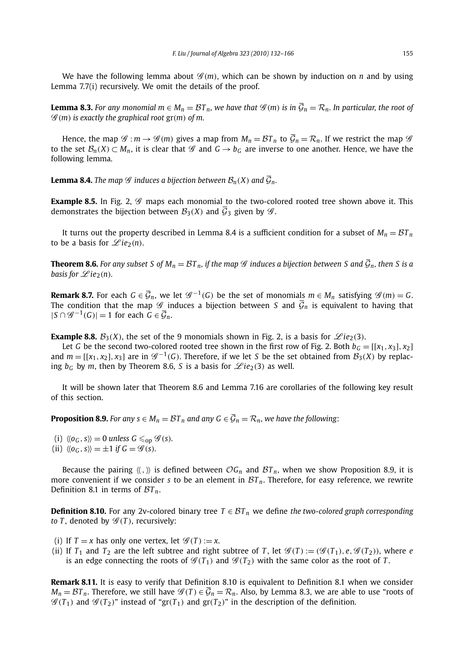We have the following lemma about  $\mathscr{G}(m)$ , which can be shown by induction on *n* and by using Lemma 7.7(i) recursively. We omit the details of the proof.

**Lemma 8.3.** For any monomial  $m ∈ M_n = \mathcal{B}T_n$ , we have that  $\mathcal{G}(m)$  is in  $\overline{\mathcal{G}}_n = \mathcal{R}_n$ . In particular, the root of  $\mathscr{G}(m)$  is exactly the graphical root  $gr(m)$  of m.

Hence, the map  $\mathscr{G}: m \to \mathscr{G}(m)$  gives a map from  $M_n = \mathcal{B}T_n$  to  $\overline{\mathcal{G}}_n = \mathcal{R}_n$ . If we restrict the map  $\mathscr{G}$ to the set  $\mathcal{B}_n(X) \subset M_n$ , it is clear that  $\mathcal{G}$  and  $G \to b_G$  are inverse to one another. Hence, we have the following lemma.

**Lemma 8.4.** *The map*  $\mathscr G$  *induces a bijection between*  $\mathcal B_n(X)$  *and*  $\overline{\mathcal G}_n$ *.* 

**Example 8.5.** In Fig. 2,  $\mathscr G$  maps each monomial to the two-colored rooted tree shown above it. This demonstrates the bijection between  $\mathcal{B}_3(X)$  and  $\overline{\mathcal{G}}_3$  given by  $\mathcal{G}$ .

It turns out the property described in Lemma 8.4 is a sufficient condition for a subset of  $M_n = \mathcal{B}T_n$ to be a basis for  $\mathscr{L}ie_2(n)$ .

**Theorem 8.6.** *For any subset S of*  $M_n = BT_n$ , *if the map*  $\mathscr G$  *induces a bijection between S and*  $\overline{G}_n$ , *then S is a basis for*  $\mathscr{L}$ *ie*<sub>2</sub>*(n).* 

**Remark 8.7.** For each  $G \in \overline{\mathcal{G}}_n$ , we let  $\mathcal{G}^{-1}(G)$  be the set of monomials  $m \in M_n$  satisfying  $\mathcal{G}(m) = G$ . The condition that the map  $\mathscr G$  induces a bijection between *S* and  $\bar{\mathcal G}_n$  is equivalent to having that  $|S \cap \mathscr{G}^{-1}(G)| = 1$  for each  $G \in \overline{\mathcal{G}}_n$ .

**Example 8.8.**  $B_3(X)$ , the set of the 9 monomials shown in Fig. 2, is a basis for  $\mathscr{L}ie_2(3)$ .

Let *G* be the second two-colored rooted tree shown in the first row of Fig. 2. Both  $b_G = [[x_1, x_3], x_2]$ and  $m = [\lbrace x_1, x_2 \rbrace, x_3]$  are in  $\mathcal{G}^{-1}(G)$ . Therefore, if we let *S* be the set obtained from  $\mathcal{B}_3(X)$  by replacing  $b<sub>G</sub>$  by *m*, then by Theorem 8.6, *S* is a basis for  $\mathscr{L}ie_2(3)$  as well.

It will be shown later that Theorem 8.6 and Lemma 7.16 are corollaries of the following key result of this section.

**Proposition 8.9.** *For any s*  $\in$  *M<sub>n</sub>*  $=$  *BT<sub>n</sub>* and any *G*  $\in$   $\overline{\mathcal{G}}_n$   $=$   $\mathcal{R}_n$ *, we have the following:* 

(i)  $\langle \langle o_G, s \rangle \rangle = 0$  *unless*  $G \le_{\text{op}} \mathcal{G}(s)$ *.* (ii)  $\langle \langle 0_C, s \rangle \rangle = \pm 1$  if  $G = \mathscr{G}(s)$ *.* 

Because the pairing  $\langle \langle , \rangle \rangle$  is defined between  $OG_n$  and  $BT_n$ , when we show Proposition 8.9, it is more convenient if we consider *s* to be an element in  $BT_n$ . Therefore, for easy reference, we rewrite Definition 8.1 in terms of  $BT_n$ .

**Definition 8.10.** For any 2v-colored binary tree  $T ∈ BT<sub>n</sub>$  we define *the two-colored graph corresponding to T*, denoted by  $\mathscr{G}(T)$ , recursively:

- (i) If  $T = x$  has only one vertex, let  $\mathscr{G}(T) := x$ .
- (ii) If  $T_1$  and  $T_2$  are the left subtree and right subtree of *T*, let  $\mathscr{G}(T) := (\mathscr{G}(T_1), e, \mathscr{G}(T_2))$ , where *e* is an edge connecting the roots of  $\mathcal{G}(T_1)$  and  $\mathcal{G}(T_2)$  with the same color as the root of *T*.

**Remark 8.11.** It is easy to verify that Definition 8.10 is equivalent to Definition 8.1 when we consider  $M_n = \mathcal{B}T_n$ . Therefore, we still have  $\mathcal{G}(T) \in \overline{\mathcal{G}}_n = \mathcal{R}_n$ . Also, by Lemma 8.3, we are able to use "roots of  $\mathscr{G}(T_1)$  and  $\mathscr{G}(T_2)$ " instead of "gr $(T_1)$  and gr $(T_2)$ " in the description of the definition.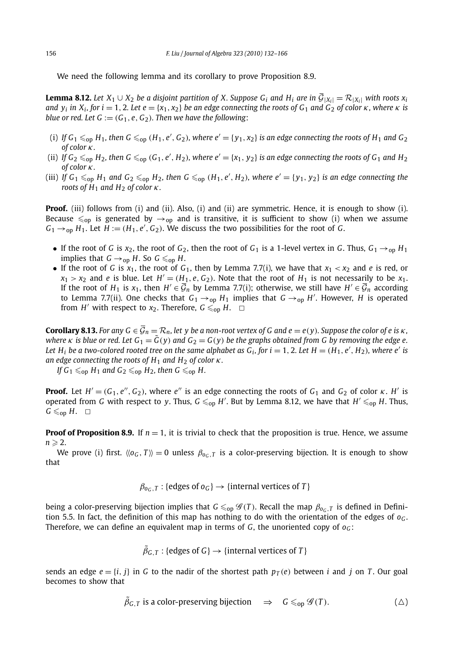We need the following lemma and its corollary to prove Proposition 8.9.

**Lemma 8.12.** *Let*  $X_1 \cup X_2$  *be a disjoint partition of X. Suppose G<sub>i</sub> and H<sub>i</sub> are in*  $\overline{G}_{|X_i|} = \mathcal{R}_{|X_i|}$  *with roots*  $x_i$ *and*  $y_i$  *in*  $X_i$ *, for*  $i = 1, 2$ *. Let*  $e = \{x_1, x_2\}$  *be an edge connecting the roots of*  $G_1$  *and*  $G_2$  *of color*  $\kappa$ *, where*  $\kappa$  *is blue or red. Let G* :=  $(G_1, e, G_2)$ *. Then we have the following*:

- (i) If  $G_1 \leqslant_{\text{op}} H_1$ , then  $G \leqslant_{\text{op}} (H_1, e', G_2)$ , where  $e' = \{y_1, x_2\}$  is an edge connecting the roots of  $H_1$  and  $G_2$ *of color κ.*
- (ii) If  $G_2 \leq_{\text{op}} H_2$ , then  $G \leq_{\text{op}} (G_1, e', H_2)$ , where  $e' = \{x_1, y_2\}$  is an edge connecting the roots of  $G_1$  and  $H_2$ *of color κ.*
- (iii) If  $G_1 \leqslant_{\text{op}} H_1$  and  $G_2 \leqslant_{\text{op}} H_2$ , then  $G \leqslant_{\text{op}} (H_1, e', H_2)$ , where  $e' = \{y_1, y_2\}$  is an edge connecting the *roots of H*<sup>1</sup> *and H*<sup>2</sup> *of color κ.*

**Proof.** (iii) follows from (i) and (ii). Also, (i) and (ii) are symmetric. Hence, it is enough to show (i). Because  $\leq_{\text{op}}$  is generated by  $\rightarrow_{\text{op}}$  and is transitive, it is sufficient to show (i) when we assume  $G_1 \rightarrow_{\text{op}} H_1$ . Let  $H := (H_1, e', G_2)$ . We discuss the two possibilities for the root of *G*.

- If the root of *G* is  $x_2$ , the root of  $G_2$ , then the root of  $G_1$  is a 1-level vertex in *G*. Thus,  $G_1 \rightarrow_{op} H_1$ implies that  $G \rightarrow_{op} H$ . So  $G \leq_{op} H$ .
- If the root of *G* is  $x_1$ , the root of  $G_1$ , then by Lemma 7.7(i), we have that  $x_1 < x_2$  and *e* is red, or  $x_1 > x_2$  and *e* is blue. Let  $H' = (H_1, e, G_2)$ . Note that the root of  $H_1$  is not necessarily to be  $x_1$ . If the root of *H*<sub>1</sub> is *x*<sub>1</sub>, then *H'* ∈  $\overline{G}_n$  by Lemma 7.7(i); otherwise, we still have *H'* ∈  $\overline{G}_n$  according to Lemma 7.7(ii). One checks that  $G_1 \rightarrow_{op} H_1$  implies that  $G \rightarrow_{op} H'$ . However, H is operated from *H'* with respect to  $x_2$ . Therefore,  $G \le_{\text{op}} H$ .  $\Box$

**Corollary 8.13.** For any  $G \in \overline{G}_n = \mathcal{R}_n$ , let y be a non-root vertex of G and  $e = e(y)$ . Suppose the color of e is  $\kappa$ , *where*  $\kappa$  *is blue or red. Let*  $G_1 = \tilde{G}(y)$  *and*  $G_2 = G(y)$  *be the graphs obtained from G by removing the edge e.* Let  $H_i$  be a two-colored rooted tree on the same alphabet as  $G_i$ , for  $i = 1, 2$ . Let  $H = (H_1, e', H_2)$ , where  $e'$  is *an edge connecting the roots of H*<sup>1</sup> *and H*<sup>2</sup> *of color κ.*

*If*  $G_1 \leq_{\text{op}} H_1$  *and*  $G_2 \leq_{\text{op}} H_2$ *, then*  $G \leq_{\text{op}} H$ *.* 

**Proof.** Let  $H' = (G_1, e'', G_2)$ , where  $e''$  is an edge connecting the roots of  $G_1$  and  $G_2$  of color  $\kappa$ .  $H'$  is operated from *G* with respect to *y*. Thus,  $G \leqslant_{\text{op}} H'$ . But by Lemma 8.12, we have that  $H' \leqslant_{\text{op}} H$ . Thus,  $G \leqslant_{\text{on}} H$ .  $\Box$ 

**Proof of Proposition 8.9.** If  $n = 1$ , it is trivial to check that the proposition is true. Hence, we assume  $n \geqslant 2$ .

We prove (i) first.  $\langle \langle o_G, T \rangle \rangle = 0$  unless  $\beta_{o_G,T}$  is a color-preserving bijection. It is enough to show that

 $\beta_{0c,T}$ : {edges of  $o_G$ }  $\rightarrow$  {internal vertices of *T*}

being a color-preserving bijection implies that  $G \le_{op} \mathscr{G}(T)$ . Recall the map  $\beta_{oc,T}$  is defined in Definition 5.5. In fact, the definition of this map has nothing to do with the orientation of the edges of  $o_G$ . Therefore, we can define an equivalent map in terms of  $G$ , the unoriented copy of  $o_G$ :

 $\tilde{\beta}_{G,T}:\{$ edges of  $G\}\rightarrow\{$  internal vertices of  $T\}$ 

sends an edge  $e = \{i, j\}$  in G to the nadir of the shortest path  $p_T(e)$  between *i* and *j* on *T*. Our goal becomes to show that

$$
\tilde{\beta}_{G,T} \text{ is a color-preserving bijection } \Rightarrow G \leq_{\text{op}} \mathcal{G}(T). \tag{4}
$$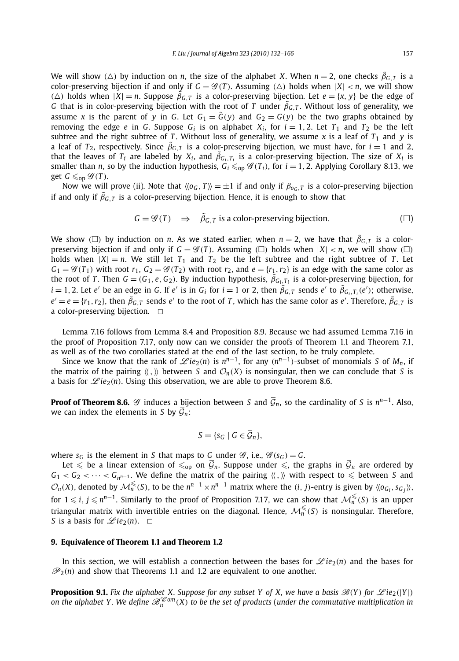We will show ( $\triangle$ ) by induction on *n*, the size of the alphabet *X*. When  $n = 2$ , one checks  $\tilde{\beta}_{G,T}$  is a color-preserving bijection if and only if  $G = \mathscr{G}(T)$ . Assuming  $(\triangle)$  holds when  $|X| < n$ , we will show  $(\triangle)$  holds when  $|X| = n$ . Suppose  $\tilde{\beta}_{G,T}$  is a color-preserving bijection. Let  $e = \{x, y\}$  be the edge of *G* that is in color-preserving bijection with the root of *T* under  $\tilde{\beta}_{G,T}$ . Without loss of generality, we assume *x* is the parent of *y* in *G*. Let  $G_1 = \tilde{G}(y)$  and  $G_2 = G(y)$  be the two graphs obtained by removing the edge *e* in *G*. Suppose  $G_i$  is on alphabet  $X_i$ , for  $i = 1, 2$ . Let  $T_1$  and  $T_2$  be the left subtree and the right subtree of *T*. Without loss of generality, we assume  $x$  is a leaf of  $T_1$  and  $y$  is a leaf of  $T_2$ , respectively. Since  $\tilde{\beta}_{G,T}$  is a color-preserving bijection, we must have, for  $i=1$  and 2, that the leaves of  $T_i$  are labeled by  $X_i$ , and  $\tilde{\beta}_{G_i,T_i}$  is a color-preserving bijection. The size of  $X_i$  is smaller than *n*, so by the induction hypothesis,  $G_i \le_{\text{op}} \mathscr{G}(T_i)$ , for  $i = 1, 2$ . Applying Corollary 8.13, we get  $G \leq_{\text{op}} \mathscr{G}(T)$ .

Now we will prove (ii). Note that  $\langle \langle o_G, T \rangle \rangle = \pm 1$  if and only if  $\beta_{o_G,T}$  is a color-preserving bijection if and only if  $\tilde{\beta}_{G,T}$  is a color-preserving bijection. Hence, it is enough to show that

$$
G = \mathcal{G}(T) \quad \Rightarrow \quad \tilde{\beta}_{G,T} \text{ is a color-preserving bijection.} \tag{}
$$

We show ( $\Box$ ) by induction on *n*. As we stated earlier, when  $n=2$ , we have that  $\tilde{\beta}_{G,T}$  is a colorpreserving bijection if and only if  $G = \mathcal{G}(T)$ . Assuming  $(\Box)$  holds when  $|X| < n$ , we will show  $(\Box)$ holds when  $|X| = n$ . We still let  $T_1$  and  $T_2$  be the left subtree and the right subtree of *T*. Let  $G_1 = \mathscr{G}(T_1)$  with root  $r_1$ ,  $G_2 = \mathscr{G}(T_2)$  with root  $r_2$ , and  $e = \{r_1, r_2\}$  is an edge with the same color as the root of *T*. Then  $G = (G_1, e, G_2)$ . By induction hypothesis,  $\tilde{\beta}_{G_i, T_i}$  is a color-preserving bijection, for  $i=1,2$ . Let  $e'$  be an edge in G. If  $e'$  is in  $G_i$  for  $i=1$  or 2, then  $\tilde{\beta}_{G,T}$  sends  $e'$  to  $\tilde{\beta}_{G_i,T_i}(e')$ ; otherwise,  $e' = e = \{r_1, r_2\}$ , then  $\tilde{\beta}_{G,T}$  sends  $e'$  to the root of *T*, which has the same color as  $e'$ . Therefore,  $\tilde{\beta}_{G,T}$  is a color-preserving bijection.  $\Box$ 

Lemma 7.16 follows from Lemma 8.4 and Proposition 8.9. Because we had assumed Lemma 7.16 in the proof of Proposition 7.17, only now can we consider the proofs of Theorem 1.1 and Theorem 7.1, as well as of the two corollaries stated at the end of the last section, to be truly complete.

Since we know that the rank of  $\mathscr{L}ie_2(n)$  is  $n^{n-1}$ , for any  $(n^{n-1})$ -subset of monomials *S* of  $M_n$ , if the matrix of the pairing  $\langle \langle , \rangle \rangle$  between *S* and  $\mathcal{O}_n(X)$  is nonsingular, then we can conclude that *S* is a basis for  $\mathscr{L}ie_2(n)$ . Using this observation, we are able to prove Theorem 8.6.

**Proof of Theorem 8.6.** G induces a bijection between S and  $\overline{G}_n$ , so the cardinality of S is  $n^{n-1}$ . Also, we can index the elements in *S* by  $\overline{G}_n$ :

$$
S = \{s_G \mid G \in \overline{\mathcal{G}}_n\},\
$$

where  $s_G$  is the element in *S* that maps to *G* under  $\mathscr{G}$ , i.e.,  $\mathscr{G}(s_G) = G$ .

Let  $\leq$  be a linear extension of  $\leq_{\text{op}}$  on  $\mathcal{G}_n$ . Suppose under  $\leq$ , the graphs in  $\mathcal{G}_n$  are ordered by  $G_1 < G_2 < \cdots < G_{n^{n-1}}$ . We define the matrix of the pairing  $\langle \langle , \rangle \rangle$  with respect to  $\leq$  between *S* and  $\mathcal{O}_n(X)$ , denoted by  $\mathcal{M}_n^{\leq}(S)$ , to be the  $n^{n-1} \times n^{n-1}$  matrix where the  $(i, j)$ -entry is given by  $\langle\langle o_{G_i}, s_{G_j}\rangle\rangle$ , for  $1 \leq i, j \leq n^{n-1}$ . Similarly to the proof of Proposition 7.17, we can show that  $\mathcal{M}_n^{\leq}(S)$  is an upper triangular matrix with invertible entries on the diagonal. Hence,  $\mathcal{M}_n^{\leq}(S)$  is nonsingular. Therefore, *S* is a basis for  $\mathscr{L}ie_2(n)$ .  $\Box$ 

#### **9. Equivalence of Theorem 1.1 and Theorem 1.2**

In this section, we will establish a connection between the bases for  $\mathscr{L}ie_2(n)$  and the bases for  $\mathcal{P}_2(n)$  and show that Theorems 1.1 and 1.2 are equivalent to one another.

**Proposition 9.1.** Fix the alphabet X. Suppose for any subset Y of X, we have a basis  $\mathcal{B}(Y)$  for  $\mathcal{L}ie_2(|Y|)$ *on the alphabet Y. We define*  $\mathcal{B}_n^{\mathcal{C}om}(X)$  *to be the set of products* (*under the commutative multiplication in*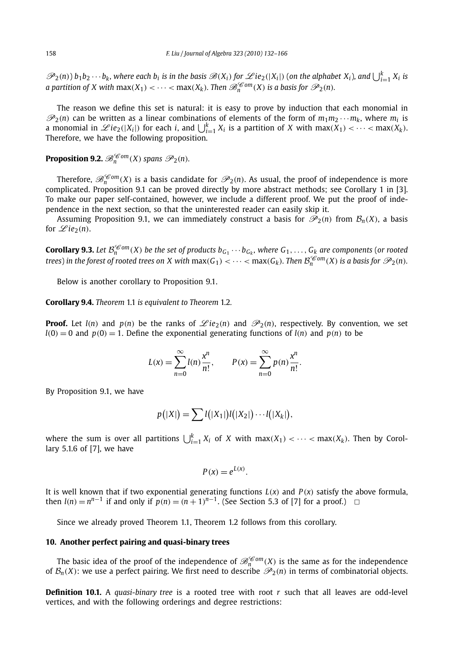$\mathscr{P}_2(n)$ )  $b_1b_2\cdots b_k$ , where each  $b_i$  is in the basis  $\mathscr{B}(X_i)$  for  $\mathscr{L}ie_2(|X_i|)$  (on the alphabet  $X_i$ ), and  $\bigcup_{i=1}^k X_i$  is *a partition of X with*  $max(X_1) < \cdots < max(X_k)$ *. Then*  $\mathscr{B}_n^{\mathscr{C}om}(X)$  *is a basis for*  $\mathscr{P}_2(n)$ *.* 

The reason we define this set is natural: it is easy to prove by induction that each monomial in  $\mathcal{P}_2(n)$  can be written as a linear combinations of elements of the form of  $m_1m_2 \cdots m_k$ , where  $m_i$  is a monomial in  $\mathscr{L}ie_2(|X_i|)$  for each *i*, and  $\bigcup_{i=1}^k X_i$  is a partition of *X* with max $(X_1) < \cdots < \max(X_k)$ . Therefore, we have the following proposition.

**Proposition 9.2.**  $\mathscr{B}_n^{\mathscr{C}om}(X)$  *spans*  $\mathscr{P}_2(n)$ *.* 

Therefore,  $\mathscr{B}_n^{\mathscr{C}om}(X)$  is a basis candidate for  $\mathscr{P}_2(n)$ . As usual, the proof of independence is more complicated. Proposition 9.1 can be proved directly by more abstract methods; see Corollary 1 in [3]. To make our paper self-contained, however, we include a different proof. We put the proof of independence in the next section, so that the uninterested reader can easily skip it.

Assuming Proposition 9.1, we can immediately construct a basis for  $\mathcal{P}_2(n)$  from  $\mathcal{B}_n(X)$ , a basis for  $\mathscr{L}ie_2(n)$ .

**Corollary 9.3.** Let  $\mathcal{B}_n^{\epsilon_0 m}(X)$  be the set of products  $b_{G_1} \cdots b_{G_k}$ , where  $G_1, \ldots, G_k$  are components (or rooted trees) in the forest of rooted trees on X with  $max(G_1) < \cdots < max(G_k)$ . Then  $\mathcal{B}_n^{\mathscr{C}om}(X)$  is a basis for  $\mathscr{P}_2(n)$ .

Below is another corollary to Proposition 9.1.

**Corollary 9.4.** *Theorem* 1.1 *is equivalent to Theorem* 1.2*.*

**Proof.** Let  $l(n)$  and  $p(n)$  be the ranks of  $\mathscr{L}ie_2(n)$  and  $\mathscr{P}_2(n)$ , respectively. By convention, we set  $l(0) = 0$  and  $p(0) = 1$ . Define the exponential generating functions of  $l(n)$  and  $p(n)$  to be

$$
L(x) = \sum_{n=0}^{\infty} l(n) \frac{x^n}{n!}, \qquad P(x) = \sum_{n=0}^{\infty} p(n) \frac{x^n}{n!}.
$$

By Proposition 9.1, we have

$$
p(|X|) = \sum l(|X_1|)l(|X_2|)\cdots l(|X_k|),
$$

where the sum is over all partitions  $\bigcup_{i=1}^{k} X_i$  of *X* with max $(X_1) < \cdots <$  max $(X_k)$ . Then by Corollary 5.1.6 of [7], we have

$$
P(x) = e^{L(x)}.
$$

It is well known that if two exponential generating functions  $L(x)$  and  $P(x)$  satisfy the above formula, then *l*(*n*) =  $n^{n-1}$  if and only if  $p(n) = (n + 1)^{n-1}$ . (See Section 5.3 of [7] for a proof.) □

Since we already proved Theorem 1.1, Theorem 1.2 follows from this corollary.

#### **10. Another perfect pairing and quasi-binary trees**

The basic idea of the proof of the independence of  $\mathcal{B}_n^{\mathcal{C}om}(X)$  is the same as for the independence of  $\mathcal{B}_n(X)$ : we use a perfect pairing. We first need to describe  $\mathcal{P}_2(n)$  in terms of combinatorial objects.

**Definition 10.1.** A *quasi-binary tree* is a rooted tree with root *r* such that all leaves are odd-level vertices, and with the following orderings and degree restrictions: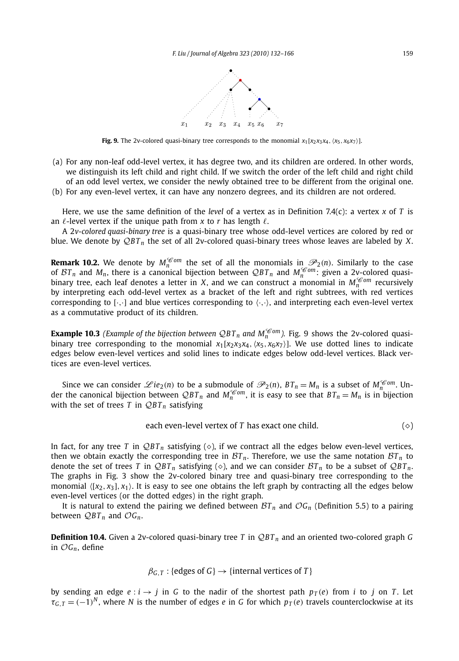

**Fig. 9.** The 2v-colored quasi-binary tree corresponds to the monomial  $x_1[x_2x_3x_4, (x_5, x_6x_7)]$ .

- (a) For any non-leaf odd-level vertex, it has degree two, and its children are ordered. In other words, we distinguish its left child and right child. If we switch the order of the left child and right child of an odd level vertex, we consider the newly obtained tree to be different from the original one.
- (b) For any even-level vertex, it can have any nonzero degrees, and its children are not ordered.

Here, we use the same definition of the *level* of a vertex as in Definition 7.4(c): a vertex *x* of *T* is an  $\ell$ -level vertex if the unique path from x to r has length  $\ell$ .

A 2*v-colored quasi-binary tree* is a quasi-binary tree whose odd-level vertices are colored by red or blue. We denote by Q*B T <sup>n</sup>* the set of all 2v-colored quasi-binary trees whose leaves are labeled by *X*.

**Remark 10.2.** We denote by  $M_m^{\mathscr{L}om}$  the set of all the monomials in  $\mathscr{P}_2(n)$ . Similarly to the case of  $BT_n$  and  $M_n$ , there is a canonical bijection between  $QBT_n$  and  $M_n^{\mathscr{C}om}$ : given a 2v-colored quasibinary tree, each leaf denotes a letter in *X*, and we can construct a monomial in  $M_{\tau}^{\mathscr{L}om}$  recursively by interpreting each odd-level vertex as a bracket of the left and right subtrees, with red vertices corresponding to  $[\cdot,\cdot]$  and blue vertices corresponding to  $\langle\cdot,\cdot\rangle$ , and interpreting each even-level vertex as a commutative product of its children.

**Example 10.3** *(Example of the bijection between QBT<sub>n</sub> and*  $M_n^{\mathcal{C}om}$ *). Fig. 9 shows the 2v-colored quasi*binary tree corresponding to the monomial  $x_1[x_2x_3x_4, (x_5, x_6x_7)]$ . We use dotted lines to indicate edges below even-level vertices and solid lines to indicate edges below odd-level vertices. Black vertices are even-level vertices.

Since we can consider  $\mathscr{L}ie_2(n)$  to be a submodule of  $\mathscr{P}_2(n)$ ,  $BT_n = M_n$  is a subset of  $M_n^{\mathscr{C}om}$ . Under the canonical bijection between  $QBT_n$  and  $M_n^{\mathscr{C}om}$ , it is easy to see that  $BT_n = M_n$  is in bijection with the set of trees  $T$  in  $QBT_n$  satisfying

each even-level vertex of 
$$
T
$$
 has exact one child.  $(\diamond)$ 

In fact, for any tree *T* in  $QBT_n$  satisfying ( $\diamond$ ), if we contract all the edges below even-level vertices, then we obtain exactly the corresponding tree in  $BT_n$ . Therefore, we use the same notation  $BT_n$  to denote the set of trees *T* in  $QBT_n$  satisfying ( $\diamond$ ), and we can consider  $BT_n$  to be a subset of  $QBT_n$ . The graphs in Fig. 3 show the 2v-colored binary tree and quasi-binary tree corresponding to the monomial  $\langle [x_2, x_3], x_1 \rangle$ . It is easy to see one obtains the left graph by contracting all the edges below even-level vertices (or the dotted edges) in the right graph.

It is natural to extend the pairing we defined between  $BT_n$  and  $OG_n$  (Definition 5.5) to a pairing between  $QBT_n$  and  $OG_n$ .

**Definition 10.4.** Given a 2v-colored quasi-binary tree *T* in Q*B T <sup>n</sup>* and an oriented two-colored graph *G* in O*Gn*, define

$$
\beta_{G,T}
$$
: {edges of  $G$ }  $\rightarrow$  {internal vertices of  $T$ }

by sending an edge  $e : i \rightarrow j$  in *G* to the nadir of the shortest path  $p_T(e)$  from *i* to *j* on *T*. Let  $\tau$ <sup>*G*</sup>,  $T = (-1)^N$ , where *N* is the number of edges *e* in *G* for which  $p_T(e)$  travels counterclockwise at its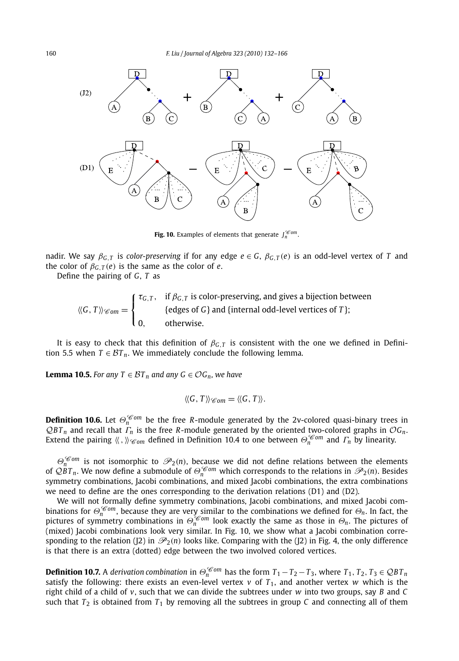

**Fig. 10.** Examples of elements that generate  $J_n^{\mathscr{C}om}$ .

nadir. We say  $\beta_{G,T}$  is *color-preserving* if for any edge  $e \in G$ ,  $\beta_{G,T}(e)$  is an odd-level vertex of *T* and the color of  $\beta_{G,T}(e)$  is the same as the color of *e*.

Define the pairing of *G*, *T* as

$$
\langle G, T \rangle \mathcal{C}_{om} = \begin{cases} \tau_{G,T}, & \text{if } \beta_{G,T} \text{ is color-preserving, and gives a bijection between } \{\text{edges of } G\} \text{ and } \{\text{internal odd-level vertices of } T\}; \\ 0, & \text{otherwise.} \end{cases}
$$

It is easy to check that this definition of  $\beta_{G,T}$  is consistent with the one we defined in Definition 5.5 when  $T \in \mathcal{B}T_n$ . We immediately conclude the following lemma.

**Lemma 10.5.** *For any T* ∈ *B*T<sub>*n*</sub> and any *G* ∈  $\mathcal{O}G_n$ *, we have* 

$$
\langle\!\langle G,\,T\rangle\!\rangle_{\mathscr Com}=\langle\!\langle G,\,T\rangle\!\rangle.
$$

**Definition 10.6.** Let  $\Theta_n^{\mathcal{C}om}$  be the free *R*-module generated by the 2v-colored quasi-binary trees in  $QBT_n$  and recall that  $\ddot{T}_n$  is the free *R*-module generated by the oriented two-colored graphs in  $OG_n$ . Extend the pairing  $\langle \zeta, \zeta \rangle_{\mathscr{C}om}$  defined in Definition 10.4 to one between  $\Theta_n^{\mathscr{C}om}$  and  $\Gamma_n$  by linearity.

 $\Theta_n^{\mathcal{C}_{\text{om}}}$  is not isomorphic to  $\mathcal{P}_2(n)$ , because we did not define relations between the elements of  $QBT_n$ . We now define a submodule of  $\Theta_n^{\mathscr{C}om}$  which corresponds to the relations in  $\mathscr{P}_2(n)$ . Besides symmetry combinations, Jacobi combinations, and mixed Jacobi combinations, the extra combinations we need to define are the ones corresponding to the derivation relations (D1) and (D2).

We will not formally define symmetry combinations, Jacobi combinations, and mixed Jacobi com*binations for*  $\Theta_n^{\mathscr{C}om}$ *, because they are very similar to the combinations we defined for*  $\Theta_n$ *. In fact, the* pictures of symmetry combinations in  $\Theta_n^{\epsilon_{om}}$  look exactly the same as those in  $\Theta_n$ . The pictures of (mixed) Jacobi combinations look very similar. In Fig. 10, we show what a Jacobi combination corresponding to the relation ( $\overline{2}$ ) in  $\mathcal{P}_2(n)$  looks like. Comparing with the ( $\overline{2}$ ) in Fig. 4, the only difference is that there is an extra (dotted) edge between the two involved colored vertices.

**Definition 10.7.** A derivation combination in  $\Theta_n^{\mathscr{C}om}$  has the form  $T_1 - T_2 - T_3$ , where  $T_1, T_2, T_3 \in QBT_n$ satisfy the following: there exists an even-level vertex  $v$  of  $T_1$ , and another vertex  $w$  which is the right child of a child of *v*, such that we can divide the subtrees under *w* into two groups, say *B* and *C* such that  $T_2$  is obtained from  $T_1$  by removing all the subtrees in group  $C$  and connecting all of them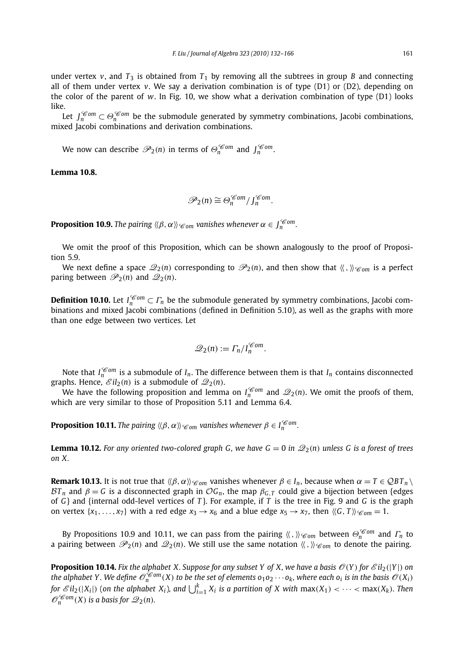under vertex  $v$ , and  $T_3$  is obtained from  $T_1$  by removing all the subtrees in group *B* and connecting all of them under vertex  $v$ . We say a derivation combination is of type  $(D1)$  or  $(D2)$ , depending on the color of the parent of *w*. In Fig. 10, we show what a derivation combination of type (D1) looks like.

Let  $J_n^{\mathscr{C}om} \subset \Theta_n^{\mathscr{C}om}$  be the submodule generated by symmetry combinations, Jacobi combinations, mixed Jacobi combinations and derivation combinations.

We now can describe  $\mathscr{P}_2(n)$  in terms of  $\Theta_n^{\mathscr{C}om}$  and  $J_n^{\mathscr{C}om}$ .

#### **Lemma 10.8.**

$$
\mathcal{P}_2(n) \cong \Theta_n^{\mathcal{C}om}/J_n^{\mathcal{C}om}.
$$

**Proposition 10.9.** *The pairing*  $\langle \beta, \alpha \rangle$   $\gamma$  *e<sub>om</sub> vanishes whenever*  $\alpha \in \int_{n}^{\infty}$ *.* 

We omit the proof of this Proposition, which can be shown analogously to the proof of Proposition 5.9.

We next define a space  $\mathcal{Q}_2(n)$  corresponding to  $\mathcal{P}_2(n)$ , and then show that  $\langle\langle,\,\rangle\rangle_{\mathscr{C}\!\mathscr{O}m}$  is a perfect paring between  $\mathcal{P}_2(n)$  and  $\mathcal{Q}_2(n)$ .

**Definition 10.10.** Let  $I_n^{\mathscr{C}om} \subset \Gamma_n$  be the submodule generated by symmetry combinations, Jacobi combinations and mixed Jacobi combinations (defined in Definition 5.10), as well as the graphs with more than one edge between two vertices. Let

$$
\mathscr{Q}_2(n) := \Gamma_n / I_n^{\mathscr{C}om}.
$$

Note that  $I_n^{\mathscr{C}om}$  is a submodule of  $I_n$ . The difference between them is that  $I_n$  contains disconnected graphs. Hence,  $\mathscr{E}il_2(n)$  is a submodule of  $\mathscr{Q}_2(n)$ .

We have the following proposition and lemma on  $I_n^{\mathscr{C}om}$  and  $\mathscr{Q}_2(n)$ . We omit the proofs of them, which are very similar to those of Proposition 5.11 and Lemma 6.4.

**Proposition 10.11.** The pairing  $\langle\!\langle \beta,\alpha \rangle\!\rangle_{\mathscr{C}om}$  vanishes whenever  $\beta \in I_n^{\mathscr{C}om}.$ 

**Lemma 10.12.** For any oriented two-colored graph G, we have  $G = 0$  in  $\mathcal{Q}_2(n)$  unless G is a forest of trees *on X.*

**Remark 10.13.** It is not true that  $\langle \beta, \alpha \rangle \rangle \leq \alpha$  *m* vanishes whenever  $\beta \in I_n$ , because when  $\alpha = T \in QBT_n \setminus R$  $BT_n$  and  $β = G$  is a disconnected graph in  $OG_n$ , the map  $β_{G,T}$  could give a bijection between {edges of  $G$ } and {internal odd-level vertices of  $T$ }. For example, if  $T$  is the tree in Fig. 9 and  $G$  is the graph on vertex  $\{x_1, \ldots, x_7\}$  with a red edge  $x_3 \rightarrow x_6$  and a blue edge  $x_5 \rightarrow x_7$ , then  $\langle G, T \rangle \langle \mathcal{C}_{om} = 1$ .

By Propositions 10.9 and 10.11, we can pass from the pairing  $\langle\langle,\rangle\rangle_{\mathscr{C}om}$  between  $\Theta_n^{\mathscr{C}om}$  and  $\Gamma_n$  to a pairing between  $\mathcal{P}_2(n)$  and  $\mathcal{Q}_2(n)$ . We still use the same notation  $\langle\langle,\,\,\rangle\rangle_{\mathscr{C}om}$  to denote the pairing.

**Proposition 10.14.** Fix the alphabet X. Suppose for any subset Y of X, we have a basis  $\mathcal{O}(Y)$  for  $\mathcal{E}il_2(|Y|)$  on *the alphabet Y. We define*  $\mathcal{O}_n^{\mathscr{C}om}(X)$  *to be the set of elements*  $o_1o_2\cdots o_k$ *, where each*  $o_i$  *is in the basis*  $\mathcal{O}(X_i)$ for  $\mathscr{E}\mathit{il}_2(|X_i|)$  (on the alphabet  $X_i$ ), and  $\bigcup_{i=1}^k X_i$  is a partition of X with  $\max(X_1) < \cdots < \max(X_k)$ . Then  $\mathcal{O}_n^{\mathscr{C}om}(X)$  *is a basis for*  $\mathscr{Q}_2(n)$ *.*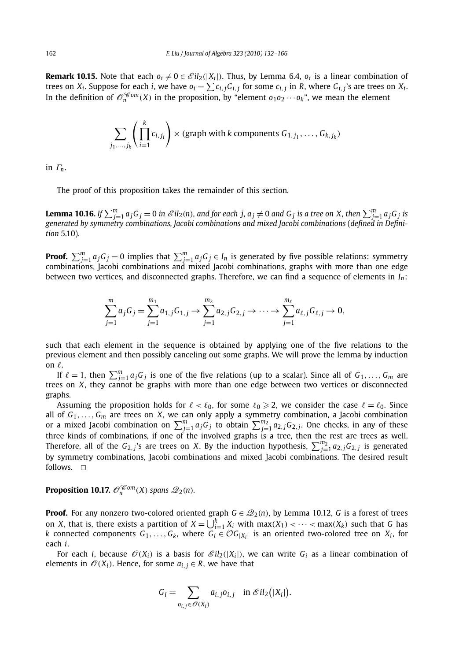**Remark 10.15.** Note that each  $o_i \neq 0 \in \mathcal{E}il_2(|X_i|)$ . Thus, by Lemma 6.4,  $o_i$  is a linear combination of trees on *X<sub>i</sub>*. Suppose for each *i*, we have  $o_i = \sum c_{i,j} G_{i,j}$  for some  $c_{i,j}$  in *R*, where  $G_{i,j}$ 's are trees on  $X_i$ . In the definition of  $\mathcal{O}_n^{\mathcal{C}om}(X)$  in the proposition, by "element  $o_1o_2\cdots o_k$ ", we mean the element

$$
\sum_{j_1,\dots,j_k} \left( \prod_{i=1}^k c_{i,j_i} \right) \times (\text{graph with } k \text{ components } G_{1,j_1}, \dots, G_{k,j_k})
$$

in *Γn*.

The proof of this proposition takes the remainder of this section.

**Lemma 10.16.** If  $\sum_{j=1}^m a_jG_j=0$  in  $\mathscr{E}\mathit{il}_2(n)$ , and for each  $j$ ,  $a_j\neq 0$  and  $G_j$  is a tree on X, then  $\sum_{j=1}^m a_jG_j$  is *generated by symmetry combinations, Jacobi combinations and mixed Jacobi combinations* (*defined in Definition* 5.10)*.*

**Proof.**  $\sum_{j=1}^m a_j G_j = 0$  implies that  $\sum_{j=1}^m a_j G_j \in I_n$  is generated by five possible relations: symmetry combinations, Jacobi combinations and mixed Jacobi combinations, graphs with more than one edge between two vertices, and disconnected graphs. Therefore, we can find a sequence of elements in  $I_n$ :

$$
\sum_{j=1}^{m} a_j G_j = \sum_{j=1}^{m_1} a_{1,j} G_{1,j} \rightarrow \sum_{j=1}^{m_2} a_{2,j} G_{2,j} \rightarrow \cdots \rightarrow \sum_{j=1}^{m_\ell} a_{\ell,j} G_{\ell,j} \rightarrow 0,
$$

such that each element in the sequence is obtained by applying one of the five relations to the previous element and then possibly canceling out some graphs. We will prove the lemma by induction on  $\ell$ .

If  $\ell = 1$ , then  $\sum_{j=1}^{m} a_j G_j$  is one of the five relations (up to a scalar). Since all of  $G_1, \ldots, G_m$  are trees on *X*, they cannot be graphs with more than one edge between two vertices or disconnected graphs.

Assuming the proposition holds for  $\ell < \ell_0$ , for some  $\ell_0 \geq 2$ , we consider the case  $\ell = \ell_0$ . Since all of  $G_1, \ldots, G_m$  are trees on *X*, we can only apply a symmetry combination, a Jacobi combination or a mixed Jacobi combination on  $\sum_{j=1}^m a_j G_j$  to obtain  $\sum_{j=1}^{m_2} a_{2,j} G_{2,j}$ . One checks, in any of these three kinds of combinations, if one of the involved graphs is a tree, then the rest are trees as well. Therefore, all of the  $G_{2,j}$ 's are trees on *X*. By the induction hypothesis,  $\sum_{j=1}^{m_2} a_{2,j} G_{2,j}$  is generated by symmetry combinations, Jacobi combinations and mixed Jacobi combinations. The desired result follows.  $\Box$ 

**Proposition 10.17.**  $\mathcal{O}_n^{\mathcal{C} \text{om}}(X)$  *spans*  $\mathcal{Q}_2(n)$ *.* 

**Proof.** For any nonzero two-colored oriented graph  $G \in \mathcal{Q}_2(n)$ , by Lemma 10.12, *G* is a forest of trees on *X*, that is, there exists a partition of  $X = \bigcup_{i=1}^k X_i$  with  $\max(X_1) < \cdots < \max(X_k)$  such that *G* has *k* connected components  $G_1, \ldots, G_k$ , where  $G_i \in \mathcal{O}G_{|X_i|}$  is an oriented two-colored tree on  $X_i$ , for each *i*.

For each *i*, because  $\mathcal{O}(X_i)$  is a basis for  $\mathcal{E}il_2(|X_i|)$ , we can write  $G_i$  as a linear combination of elements in  $\mathcal{O}(X_i)$ . Hence, for some  $a_{i,j} \in R$ , we have that

$$
G_i = \sum_{o_{i,j} \in \mathcal{O}(X_i)} a_{i,j} o_{i,j} \quad \text{in } \mathcal{E}il_2(|X_i|).
$$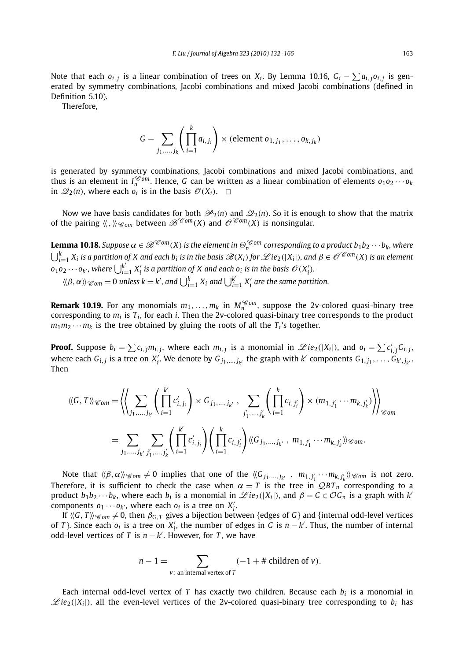Note that each  $o_{i,j}$  is a linear combination of trees on  $X_i$ . By Lemma 10.16,  $G_i - \sum a_{i,j} o_{i,j}$  is generated by symmetry combinations, Jacobi combinations and mixed Jacobi combinations (defined in Definition 5.10).

Therefore,

$$
G - \sum_{j_1,\ldots,j_k} \left( \prod_{i=1}^k a_{i,j_i} \right) \times (\text{element } o_{1,j_1},\ldots,o_{k,j_k})
$$

is generated by symmetry combinations, Jacobi combinations and mixed Jacobi combinations, and thus is an element in  $I_n^{\mathscr{C}om}$ . Hence, G can be written as a linear combination of elements  $o_1 o_2 \cdots o_k$ in  $\mathcal{Q}_2(n)$ , where each  $o_i$  is in the basis  $\mathcal{O}(X_i)$ .  $\Box$ 

Now we have basis candidates for both  $\mathcal{P}_2(n)$  and  $\mathcal{Q}_2(n)$ . So it is enough to show that the matrix of the pairing  $\langle\langle,\,\rangle\rangle_{\mathscr{C}\!\mathscr{O}m}$  between  $\mathscr{B}^{\mathscr{C}\!\mathscr{O}m}(X)$  and  $\mathscr{O}^{\mathscr{C}\!\mathscr{O}m}(X)$  is nonsingular.

**Lemma 10.18.** *Suppose*  $\alpha \in \mathscr{B}^{\mathscr{C}om}(X)$  *is the element in*  $\Theta_n^{\mathscr{C}om}$  *corresponding to a product*  $b_1b_2\cdots b_k$ *, where*  $\bigcup_{i=1}^k X_i$  is a partition of X and each  $b_i$  is in the basis  $\mathscr{B}(X_i)$  for  $\mathscr{L}ie_2(|X_i|)$ , and  $\beta\in\mathscr{O}^{\mathscr{C}om}(X)$  is an element  $o_1 o_2 \cdots o_{k'}$ , where  $\bigcup_{i=1}^{k'} X_i'$  is a partition of X and each  $o_i$  is in the basis  $\mathscr{O}(X_i')$ .

$$
\langle \beta, \alpha \rangle \rangle \cdot \langle \delta_{\text{om}} \rangle = 0
$$
 unless  $k = k'$ , and  $\bigcup_{i=1}^{k} X_i$  and  $\bigcup_{i=1}^{k'} X'_i$  are the same partition.

**Remark 10.19.** For any monomials  $m_1, \ldots, m_k$  in  $M_n^{\mathscr{C}om}$ , suppose the 2v-colored quasi-binary tree corresponding to  $m_i$  is  $T_i$ , for each *i*. Then the 2v-colored quasi-binary tree corresponds to the product  $m_1m_2\cdots m_k$  is the tree obtained by gluing the roots of all the  $T_i$ 's together.

**Proof.** Suppose  $b_i = \sum c_{i,j} m_{i,j}$ , where each  $m_{i,j}$  is a monomial in  $\mathscr{L}ie_2(|X_i|)$ , and  $o_i = \sum c'_{i,j} G_{i,j}$ , where each  $G_{i,j}$  is a tree on  $X'_i$ . We denote by  $G_{j_1,...,j_{k'}}$  the graph with  $k'$  components  $G_{1,j_1},\ldots,\hat{G}_{k',j_{k'}}.$ Then

$$
\langle\langle G, T \rangle\rangle_{\mathscr{C}\text{om}} = \left\langle \left\langle \sum_{j_1, \dots, j_{k'}} \left( \prod_{i=1}^{k'} c'_{i,j_i} \right) \times G_{j_1, \dots, j_{k'}} , \sum_{j'_1, \dots, j'_k} \left( \prod_{i=1}^k c_{i,j'_i} \right) \times (m_{1, j'_1} \cdots m_{k, j'_k}) \right\rangle \right\rangle_{\mathscr{C}\text{om}}
$$

$$
= \sum_{j_1, \dots, j_{k'}} \sum_{j'_1, \dots, j'_k} \left( \prod_{i=1}^{k'} c'_{i,j_i} \right) \left( \prod_{i=1}^k c_{i,j'_i} \right) \langle\langle G_{j_1, \dots, j_{k'}} , m_{1, j'_1} \cdots m_{k, j'_k} \rangle\rangle_{\mathscr{C}\text{om}}.
$$

Note that  $\langle\langle \beta, \alpha \rangle\rangle_{\mathscr{C}om} \neq 0$  implies that one of the  $\langle\langle G_{j_1,...,j_{k'}} , m_{1,j'_1} \cdots m_{k,j'_k} \rangle\rangle_{\mathscr{C}om}$  is not zero. Therefore, it is sufficient to check the case when  $\alpha = T$  is the tree in  $QBT_n$  corresponding to a product  $b_1b_2 \cdots b_k$ , where each  $b_i$  is a monomial in  $\mathscr{L}ie_2(|X_i|)$ , and  $\beta = G \in \mathcal{O}G_n$  is a graph with  $k'$ components  $o_1 \cdots o_{k'}$ , where each  $o_i$  is a tree on  $X'_i$ .

If  $\langle\langle G, T \rangle\rangle_{\mathscr{C}om} \neq 0$ , then  $\beta_{G,T}$  gives a bijection between {edges of *G*} and {internal odd-level vertices of *T*}. Since each  $o_i$  is a tree on  $X'_i$ , the number of edges in *G* is  $n - k'$ . Thus, the number of internal odd-level vertices of *T* is *n* − *k* . However, for *T* , we have

$$
n-1 = \sum_{v:\text{ an internal vertex of }T} (-1 + \# \text{ children of } v).
$$

Each internal odd-level vertex of *T* has exactly two children. Because each *bi* is a monomial in  $\mathscr{L}ie_2(|X_i|)$ , all the even-level vertices of the 2v-colored quasi-binary tree corresponding to  $b_i$  has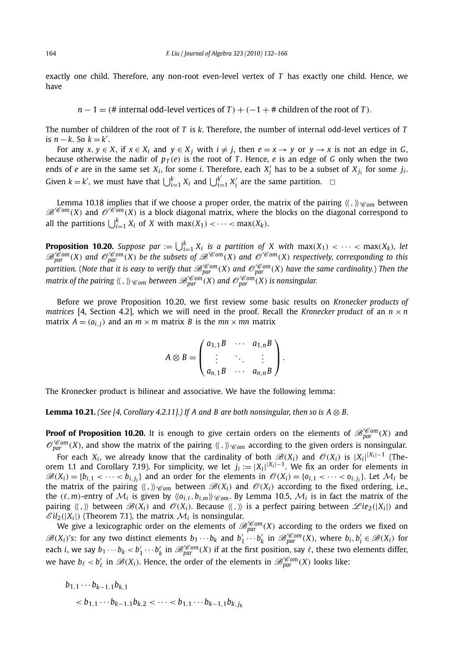exactly one child. Therefore, any non-root even-level vertex of *T* has exactly one child. Hence, we have

 $n-1 = ($ # internal odd-level vertices of *T*  $) + (-1 +$  # children of the root of *T*).

The number of children of the root of *T* is *k*. Therefore, the number of internal odd-level vertices of *T* is  $n - k$ . So  $k = k'$ .

For any  $x, y \in X$ , if  $x \in X_i$  and  $y \in X_j$  with  $i \neq j$ , then  $e = x \rightarrow y$  or  $y \rightarrow x$  is not an edge in *G*, because otherwise the nadir of  $p_T(e)$  is the root of *T*. Hence, *e* is an edge of *G* only when the two ends of *e* are in the same set  $X_i$ , for some *i*. Therefore, each  $X'_i$  has to be a subset of  $X_{j_i}$  for some  $j_i$ . Given  $k = k'$ , we must have that  $\bigcup_{i=1}^{k} X_i$  and  $\bigcup_{i=1}^{k'} X'_i$  are the same partition.  $\Box$ 

Lemma 10.18 implies that if we choose a proper order, the matrix of the pairing  $\langle \zeta, \zeta \rangle \otimes_{\mathcal{C}om}$  between  $\mathscr{B}^{\mathscr{C}om}(X)$  and  $\mathscr{O}^{\mathscr{C}om}(X)$  is a block diagonal matrix, where the blocks on the diagonal correspond to all the partitions  $\bigcup_{i=1}^{k} X_i$  of *X* with max $(X_1) < \cdots < \max(X_k)$ .

**Proposition 10.20.** Suppose par :=  $\bigcup_{i=1}^{k} X_i$  is a partition of X with max $(X_1) < \cdots < \max(X_k)$ , let  $\mathscr{B}^{Com}_{par}(X)$  and  $\mathscr{O}^{Com}_{par}(X)$  be the subsets of  $\mathscr{B}^{Com}(X)$  and  $\mathscr{O}^{Com}(X)$  respectively, corresponding to this *partition. (Note that it is easy to verify that*  $\mathscr{B}^{Com}_{par}(X)$  *and*  $\mathscr{O}^{Com}_{par}(X)$  *have the same cardinality.) Then the matrix of the pairing*  $\langle\langle,\,\rangle\rangle_{\mathscr{C}om}$  *between*  $\mathscr{B}^{\mathscr{C}om}_{\text{narr}}(X)$  *and*  $\mathscr{O}^{\mathscr{C}om}_{\text{narr}}(X)$  *is nonsingular.* 

Before we prove Proposition 10.20, we first review some basic results on *Kronecker products of matrices* [4, Section 4.2], which we will need in the proof. Recall the *Kronecker product* of an  $n \times n$ matrix  $A = (a_{i,j})$  and an  $m \times m$  matrix *B* is the  $mn \times mn$  matrix

$$
A \otimes B = \begin{pmatrix} a_{1,1}B & \cdots & a_{1,n}B \\ \vdots & \ddots & \vdots \\ a_{n,1}B & \cdots & a_{n,n}B \end{pmatrix}.
$$

The Kronecker product is bilinear and associative. We have the following lemma:

**Lemma 10.21.** *(See [4, Corollary 4.2.11].) If A and B are both nonsingular, then so is*  $A \otimes B$ *.* 

**Proof of Proposition 10.20.** It is enough to give certain orders on the elements of  $\mathscr{B}_{par}^{\mathscr{C}om}(X)$  and  $\mathcal{O}_{nqr}^{\mathscr{C}om}(X)$ , and show the matrix of the pairing  $\langle\langle,\,\rangle\rangle_{\mathscr{C}om}$  according to the given orders is nonsingular.

For each  $X_i$ , we already know that the cardinality of both  $\mathscr{B}(X_i)$  and  $\mathscr{O}(X_i)$  is  $|X_i|^{ |X_i|-1}$  (Theorem 1.1 and Corollary 7.19). For simplicity, we let  $j_i := |X_i|^{ |X_i|-1}$ . We fix an order for elements in  $\mathscr{B}(X_i) = \{b_{i,1} < \cdots < b_{i,j_i}\}\$ and an order for the elements in  $\mathscr{O}(X_i) = \{o_{i,1} < \cdots < o_{i,j_i}\}\$ . Let  $\mathcal{M}_i$  be the matrix of the pairing  $\langle \langle \cdot, \cdot \rangle \rangle_{\mathscr{C}om}$  between  $\mathscr{B}(X_i)$  and  $\mathscr{O}(X_i)$  according to the fixed ordering, i.e., the  $(\ell, m)$ -entry of  $\mathcal{M}_i$  is given by  $\langle \langle o_{i,\ell}, b_{i,m} \rangle \rangle \langle \epsilon_{om}$ . By Lemma 10.5,  $\mathcal{M}_i$  is in fact the matrix of the pairing  $\langle \langle , \rangle \rangle$  between  $\mathscr{B}(X_i)$  and  $\mathscr{O}(X_i)$ . Because  $\langle \langle , \rangle \rangle$  is a perfect pairing between  $\mathscr{L}ie_2(|X_i|)$  and  $\mathscr{E}il_2(|X_i|)$  (Theorem 7.1), the matrix  $\mathcal{M}_i$  is nonsingular.

We give a lexicographic order on the elements of  $\mathscr{B}_{par}^{\mathscr{C}om}(X)$  according to the orders we fixed on  $\mathscr{B}(X_i)$ 's: for any two distinct elements  $b_1 \cdots b_k$  and  $b'_1 \cdots b'_k$  in  $\mathscr{B}_{par}^{\mathscr{C}om}(X)$ , where  $b_i, b'_i \in \mathscr{B}(X_i)$  for each *i*, we say  $b_1 \cdots b_k < b'_1 \cdots b'_k$  in  $\mathscr{B}^{\mathscr{C}om}_{\text{par}}(X)$  if at the first position, say  $\ell$ , these two elements differ, we have  $b_{\ell} < b'_{\ell}$  in  $\mathscr{B}(X_i)$ . Hence, the order of the elements in  $\mathscr{B}_{par}^{\mathscr{C}om}(X)$  looks like:

$$
b_{1,1}\cdots b_{k-1,1}b_{k,1}
$$
  

$$
b
$$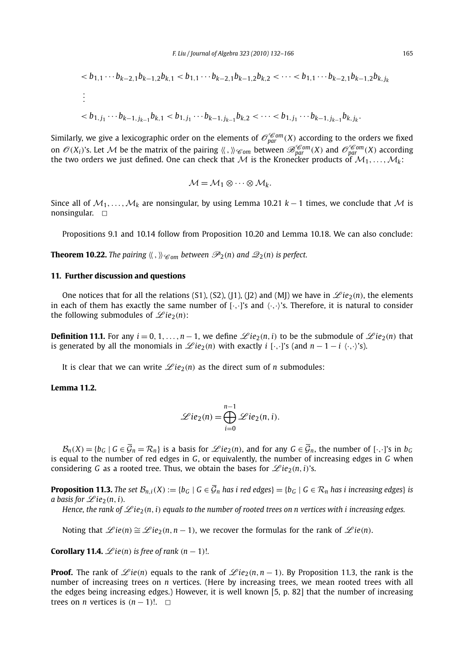$$
\langle b_{1,1} \cdots b_{k-2,1} b_{k-1,2} b_{k,1} \langle b_{1,1} \cdots b_{k-2,1} b_{k-1,2} b_{k,2} \langle \cdots \langle b_{1,1} \cdots b_{k-2,1} b_{k-1,2} b_{k,1} \rangle
$$
  
 
$$
\vdots
$$
  
 
$$
\langle b_{1,j_1} \cdots b_{k-1,j_{k-1}} b_{k,1} \langle b_{1,j_1} \cdots b_{k-1,j_{k-1}} b_{k,2} \langle \cdots \langle b_{1,j_1} \cdots b_{k-1,j_{k-1}} b_{k,j_k} \rangle
$$

Similarly, we give a lexicographic order on the elements of  $\mathscr{O}_{par}^{\mathscr{C}om}(X)$  according to the orders we fixed on  $\mathcal{O}(X_i)$ 's. Let M be the matrix of the pairing  $\langle\langle,\,\rangle\rangle_{\mathscr{C}om}$  between  $\mathscr{B}^{\mathscr{C}om}_{par}(X)$  and  $\mathscr{O}^{\mathscr{C}om}_{par}(X)$  according the two orders we just defined. One can check that M is the Kronecker products of  $M_1, \ldots, M_k$ :

$$
\mathcal{M} = \mathcal{M}_1 \otimes \cdots \otimes \mathcal{M}_k.
$$

Since all of  $M_1, \ldots, M_k$  are nonsingular, by using Lemma 10.21  $k - 1$  times, we conclude that M is nonsingular.  $\Box$ 

Propositions 9.1 and 10.14 follow from Proposition 10.20 and Lemma 10.18. We can also conclude:

**Theorem 10.22.** The pairing  $\langle \zeta, \zeta \rangle_{\mathscr{C}om}$  between  $\mathscr{P}_2(n)$  and  $\mathscr{Q}_2(n)$  is perfect.

#### **11. Further discussion and questions**

One notices that for all the relations (S1), (S2), (J1), (J2) and (MJ) we have in  $\mathscr{L}ie_2(n)$ , the elements in each of them has exactly the same number of  $[\cdot, \cdot]$ 's and  $\langle \cdot, \cdot \rangle$ 's. Therefore, it is natural to consider the following submodules of  $\mathscr{L}ie_2(n)$ :

**Definition 11.1.** For any  $i = 0, 1, \ldots, n-1$ , we define  $\mathcal{L}ie_2(n,i)$  to be the submodule of  $\mathcal{L}ie_2(n)$  that is generated by all the monomials in  $\mathcal{L}ie_2(n)$  with exactly *i* [·,·]'s (and  $n-1-i$  ·/··}'s).

It is clear that we can write  $\mathcal{L}ie_2(n)$  as the direct sum of *n* submodules:

#### **Lemma 11.2.**

$$
\mathscr{L}ie_2(n) = \bigoplus_{i=0}^{n-1} \mathscr{L}ie_2(n,i).
$$

 $\mathcal{B}_n(X) = \{b_G \mid G \in \overline{\mathcal{G}}_n = \mathcal{R}_n\}$  is a basis for  $\mathcal{L}ie_2(n)$ , and for any  $G \in \overline{\mathcal{G}}_n$ , the number of  $[\cdot, \cdot]$ 's in  $b_G$ is equal to the number of red edges in *G*, or equivalently, the number of increasing edges in *G* when considering *G* as a rooted tree. Thus, we obtain the bases for  $\mathscr{L}ie_2(n, i)$ 's.

**Proposition 11.3.** The set  $\mathcal{B}_{n,i}(X) := \{b_G \mid G \in \overline{\mathcal{G}}_n \text{ has } i \text{ red edges}\} = \{b_G \mid G \in \mathcal{R}_n \text{ has } i \text{ increasing edges}\}\$ is *a basis for*  $\mathscr{L}ie_2(n, i)$ *.* 

*Hence, the rank of*  $\mathscr{L}ie_2(n, i)$  *equals to the number of rooted trees on n vertices with i increasing edges.* 

Noting that  $\mathscr{L}ie(n) \cong \mathscr{L}ie_2(n, n-1)$ , we recover the formulas for the rank of  $\mathscr{L}ie(n)$ .

**Corollary 11.4.**  $\mathscr{L}ie(n)$  is free of rank  $(n-1)!$ .

**Proof.** The rank of  $\mathscr{L}ie(n)$  equals to the rank of  $\mathscr{L}ie_2(n, n-1)$ . By Proposition 11.3, the rank is the number of increasing trees on *n* vertices. (Here by increasing trees, we mean rooted trees with all the edges being increasing edges.) However, it is well known [5, p. 82] that the number of increasing trees on *n* vertices is  $(n - 1)!$ .  $\Box$